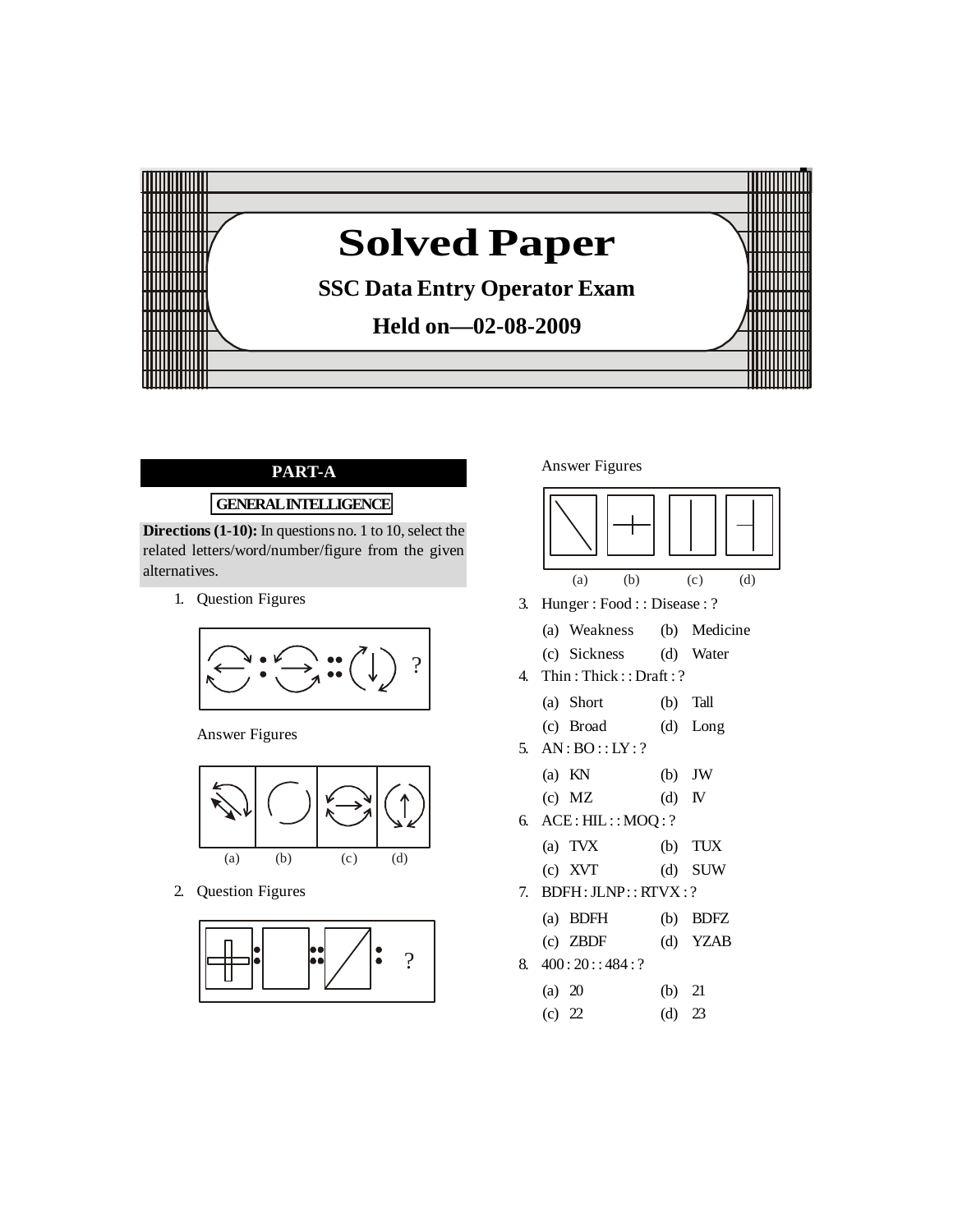

# **PART-A**

# **GENERALINTELLIGENCE**

**Directions** (1-10): In questions no. 1 to 10, select the related letters/word/number/figure from the given alternatives.

1. Question Figures



Answer Figures



2. Question Figures



Answer Figures



3. Hunger : Food : : Disease : ?

| (a) Weakness | (b) Medicine |
|--------------|--------------|
| (c) Sickness | (d) Water    |

4. Thin : Thick : : Draft : ?

(a) Short (b) Tall

- (c) Broad (d) Long
- 5. AN : BO : : LY: ?

(a) 
$$
KN
$$
 (b) JW

(c) 
$$
MZ
$$
 (d)  $IV$ 

6. ACE: HIL: : MOQ : ?

(a) TVX (b) TUX

- $(c)$  XVT  $(d)$  SUW
- 7. BDFH:JLNP: : RTVX : ?

(a) BDFH (b) BDFZ

- (c) ZBDF (d) YZAB
- 8.  $400:20::484:?$

| (a) $20$ | (b) $21$ |  |
|----------|----------|--|
| (c) 22   | (d) $23$ |  |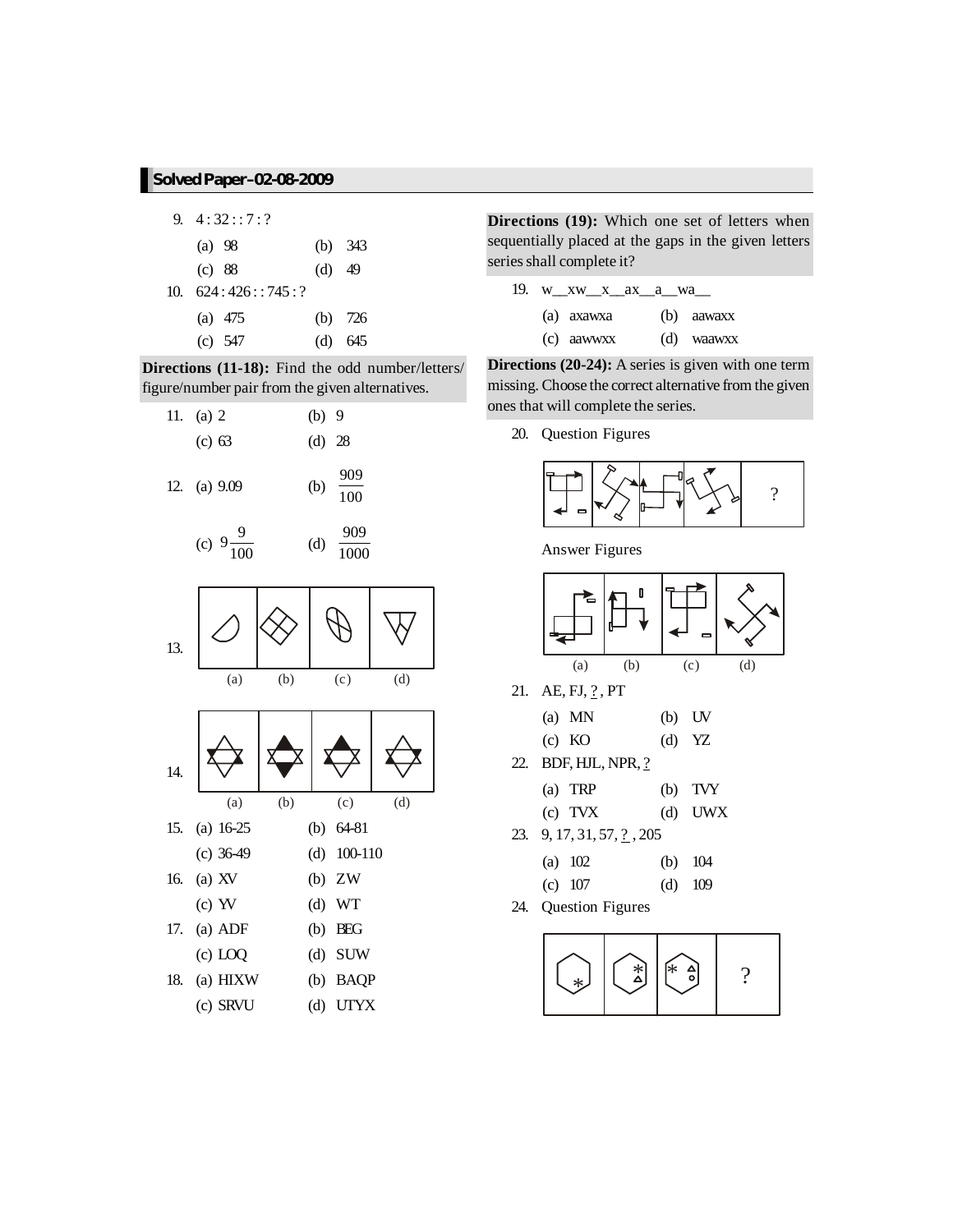|     | 9. $4:32:7:7$ |          |           |
|-----|---------------|----------|-----------|
|     | (a) 98        |          | (b) $343$ |
|     | (c) 88        | $(d)$ 49 |           |
| 10. | 624:426:745:? |          |           |
|     | (a) $475$     |          | (b) $726$ |
|     | $(c)$ 547     |          | (d) 645   |

**Directions (11-18):** Find the odd number/letters/ figure/number pair from the given alternatives.





 $\frac{1000}{1000}$ 



**Directions (19):** Which one set of letters when sequentially placed at the gaps in the given letters series shall complete it?

|  | 19. w_xw_x_ax_a_wa_ |            |
|--|---------------------|------------|
|  | (a) axawxa          | (b) aawaxx |
|  | $(c)$ a awww.       | (d) waawxx |

**Directions (20-24):** A series is given with one term missing. Choose the correct alternative from the given ones that will complete the series.

20. Question Figures



Answer Figures



(c) TVX (d) UWX

- 23. 9, 17, 31, 57,  $\frac{?}{2}$ , 205
	- (a) 102 (b) 104
- (c) 107 (d) 109 24. Question Figures

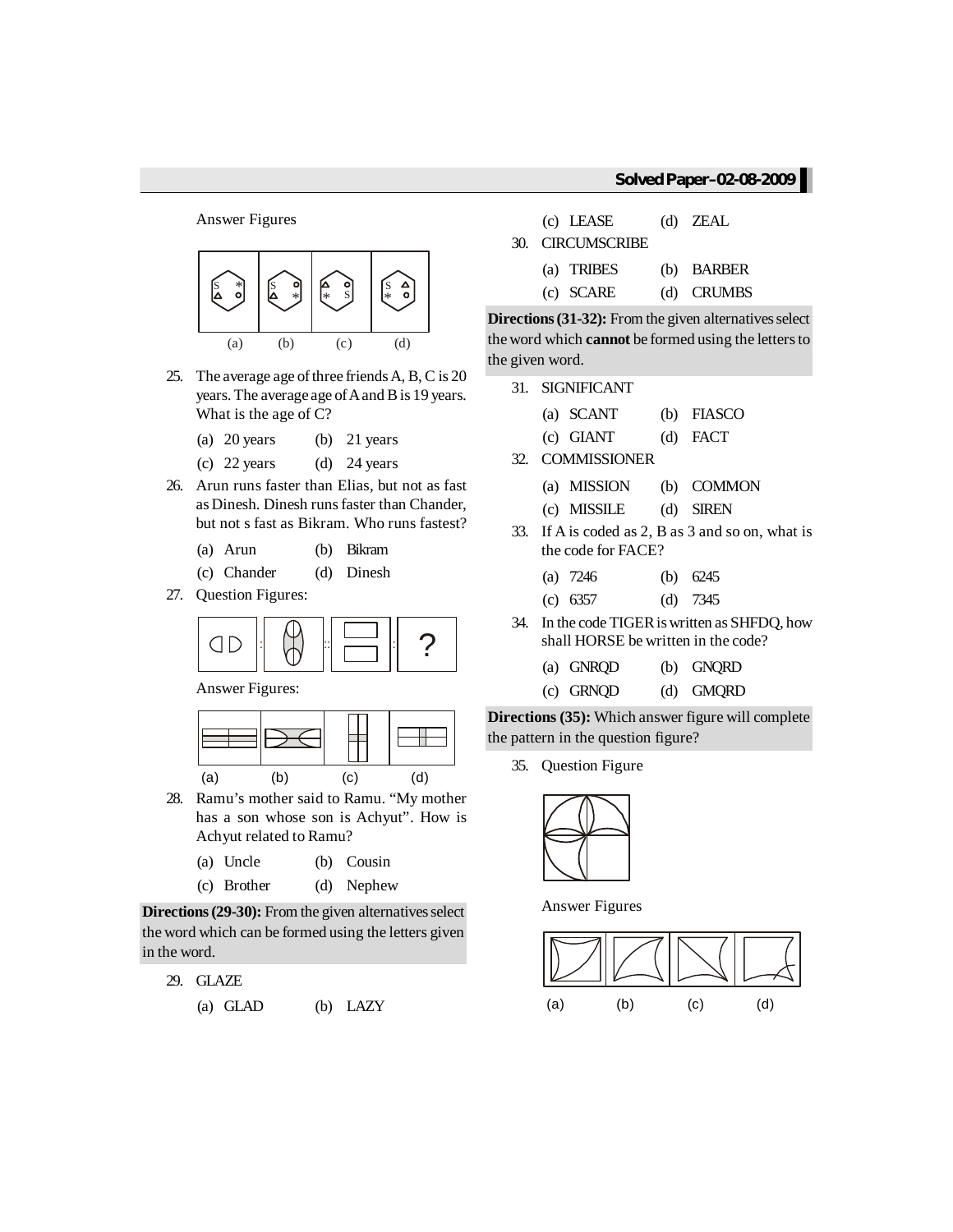#### Answer Figures



- 25. The average age of three friends  $A$ ,  $B$ ,  $C$  is  $20$ years. The average age of A and B is 19 years. What is the age of C?
	- (a) 20 years (b) 21 years
	- (c)  $22 \text{ years}$  (d)  $24 \text{ years}$
- 26. Arun runs faster than Elias, but not as fast as Dinesh. Dinesh runsfaster than Chander, but not s fast as Bikram. Who runs fastest?
	- (a) Arun (b) Bikram
	- (c) Chander (d) Dinesh
- 27. Question Figures:



Answer Figures:



28. Ramu's mother said to Ramu. "My mother has a son whose son is Achyut". How is Achyut related to Ramu?

(a) Uncle (b) Cousin

(c) Brother (d) Nephew

**Directions (29-30):** From the given alternatives select the word which can be formed using the letters given in the word.

- 29. GLAZE
	- (a) GLAD (b) LAZY

(c) LEASE (d) ZEAL 30. CIRCUMSCRIBE (a) TRIBES (b) BARBER (c) SCARE (d) CRUMBS

**Directions (31-32):** From the given alternatives select the word which **cannot** be formed using the letters to the given word.

- 31. SIGNIFICANT
	- (a) SCANT (b) FIASCO
	- (c) GIANT (d) FACT
- 32. COMMISSIONER
	- (a) MISSION (b) COMMON
	- (c) MISSILE (d) SIREN
- 33. If A is coded as 2, B as 3 and so on, what is the code for FACE?

|  |  | (a) $7246$ |  | (b) $6245$ |
|--|--|------------|--|------------|
|--|--|------------|--|------------|

- (c) 6357 (d) 7345
- 34. In the code TIGER is written as SHFDQ, how shall HORSE be written in the code?
	- (a) GNRQD (b) GNQRD
	- (c) GRNQD (d) GMQRD

**Directions (35):** Which answer figure will complete the pattern in the question figure?

35. Question Figure



Answer Figures

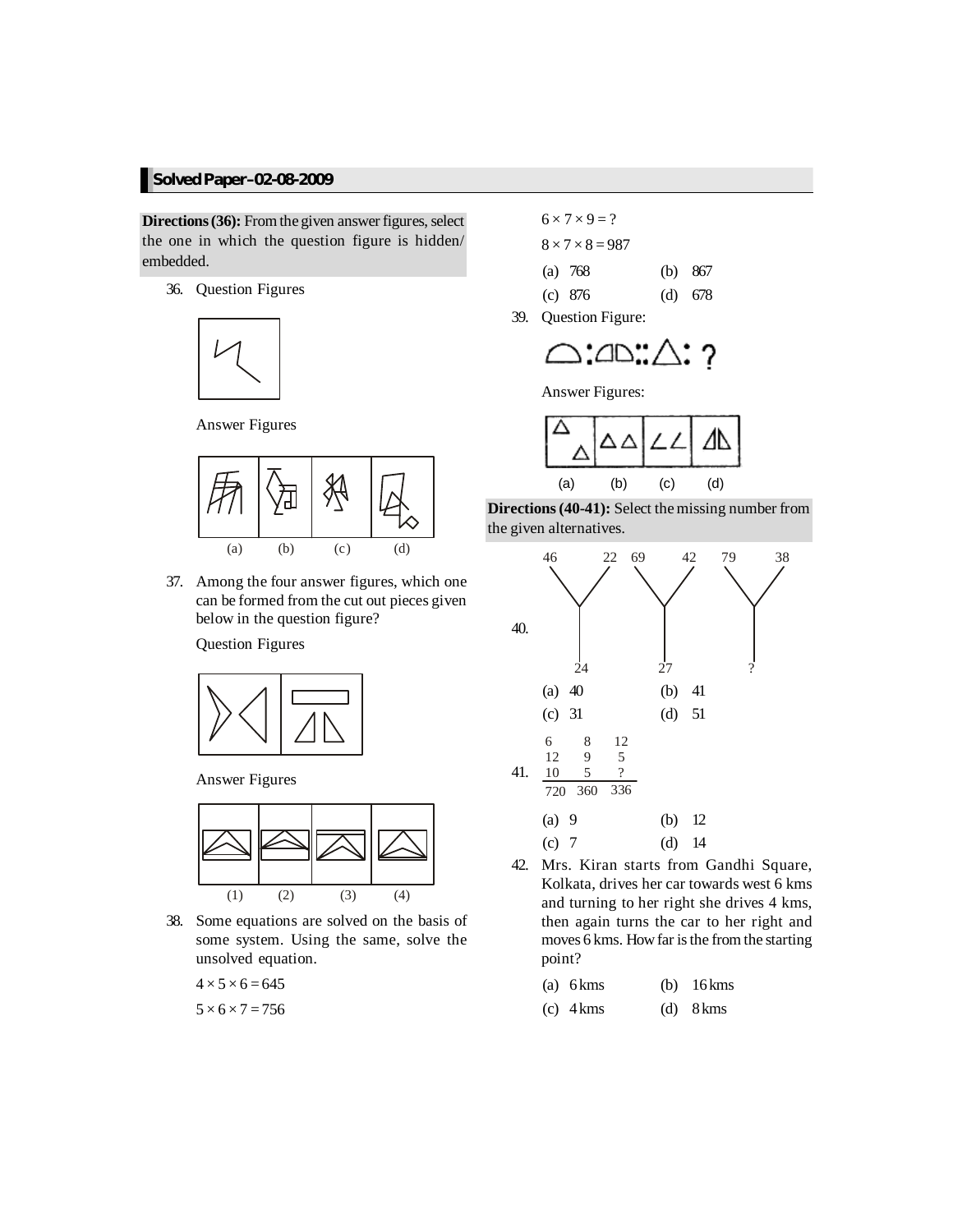**Directions (36):** From the given answer figures, select the one in which the question figure is hidden/ embedded.

36. Question Figures



Answer Figures



37. Among the four answer figures, which one can be formed from the cut out pieces given below in the question figure?

Question Figures



Answer Figures



38. Some equations are solved on the basis of some system. Using the same, solve the unsolved equation.

 $4 \times 5 \times 6 = 645$ 

$$
5\times6\times7=756
$$

 $6 \times 7 \times 9 = ?$  $8 \times 7 \times 8 = 987$ (a) 768 (b) 867 (c) 876 (d) 678

39. Question Figure:



Answer Figures:







42. Mrs. Kiran starts from Gandhi Square, Kolkata, drives her car towards west 6 kms and turning to her right she drives 4 kms, then again turns the car to her right and moves 6 kms. How far is the from the starting point?

| $(a)$ 6 kms | $(b)$ 16 kms |
|-------------|--------------|
|             |              |

(c) 4kms (d) 8kms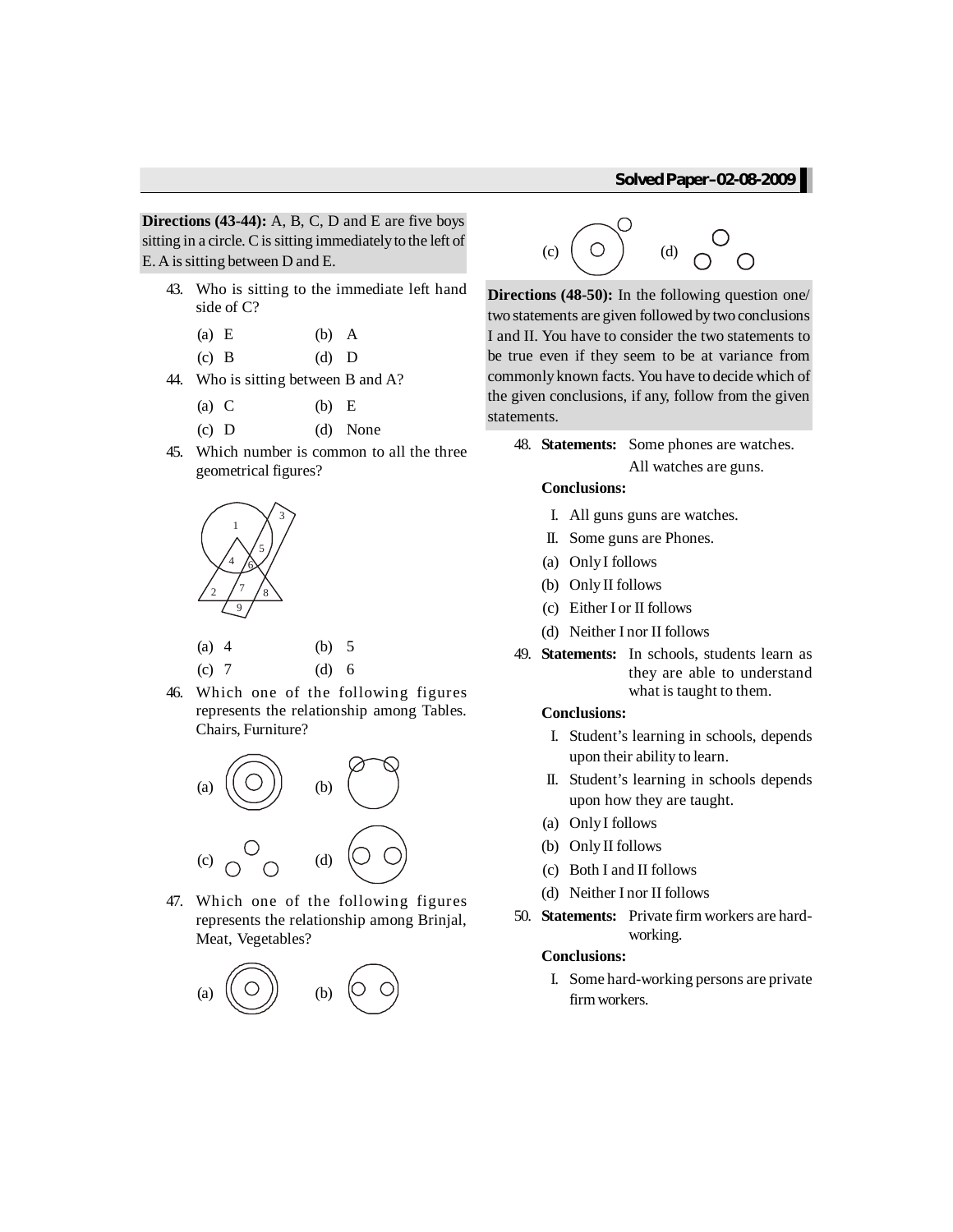**Directions (43-44):** A, B, C, D and E are five boys sitting in a circle. C is sitting immediately to the left of E. A issitting between D and E.

- 43. Who is sitting to the immediate left hand side of C?
	- (a) E (b) A
	- $(c)$  B  $(d)$  D
- 44. Who is sitting between B and A?
	- (a)  $C$  (b)  $E$
	- (c) D (d) None
- 45. Which number is common to all the three geometrical figures?



(a) 4 (b) 5 (c) 7 (d) 6

46. Which one of the following figures represents the relationship among Tables. Chairs, Furniture?



47. Which one of the following figures represents the relationship among Brinjal, Meat, Vegetables?





**Directions (48-50):** In the following question one/ two statements are given followed by two conclusions I and II. You have to consider the two statements to be true even if they seem to be at variance from commonlyknown facts. You have to decide which of the given conclusions, if any, follow from the given statements.

48. **Statements:** Some phones are watches. All watches are guns.

#### **Conclusions:**

- I. All guns guns are watches.
- II. Some guns are Phones.
- (a) OnlyI follows
- (b) Only II follows
- (c) Either I or II follows
- (d) Neither I nor II follows
- 49. **Statements:** In schools, students learn as they are able to understand what is taught to them.

#### **Conclusions:**

- I. Student's learning in schools, depends upon their ability to learn.
- II. Student's learning in schools depends upon how they are taught.
- (a) OnlyI follows
- (b) Only II follows
- (c) Both I and II follows
- (d) Neither I nor II follows
- 50. **Statements:** Private firm workers are hardworking.

#### **Conclusions:**

I. Some hard-working persons are private firmworkers.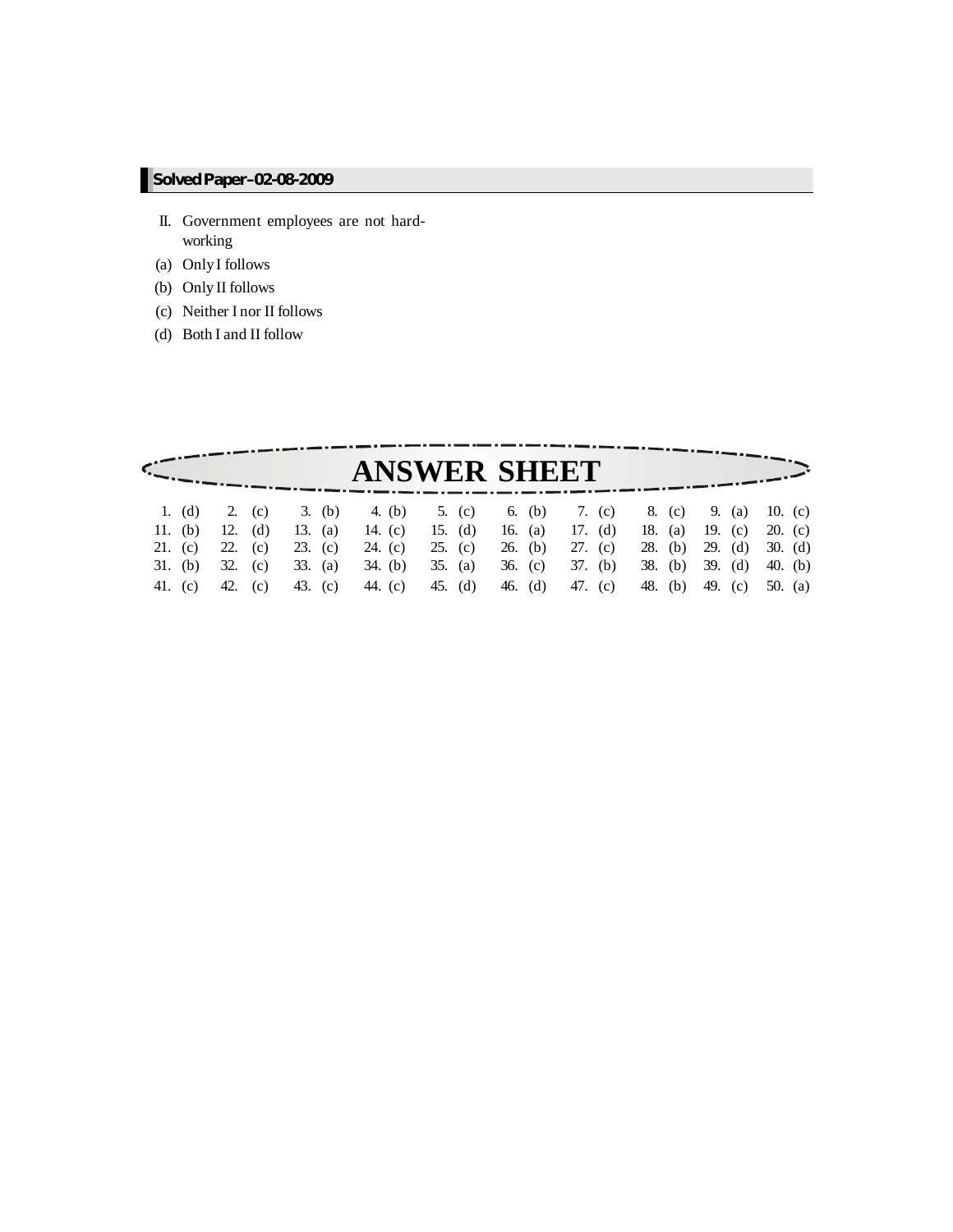- II. Government employees are not hardworking
- (a) OnlyI follows
- (b) Only II follows
- (c) Neither I nor II follows
- (d) Both I and II follow

| 11. (b) |  |                 |  |  |  |                                                                |  |  |                                                                                                                                                                                                                                                                                                                                                    |
|---------|--|-----------------|--|--|--|----------------------------------------------------------------|--|--|----------------------------------------------------------------------------------------------------------------------------------------------------------------------------------------------------------------------------------------------------------------------------------------------------------------------------------------------------|
|         |  |                 |  |  |  |                                                                |  |  |                                                                                                                                                                                                                                                                                                                                                    |
|         |  |                 |  |  |  |                                                                |  |  |                                                                                                                                                                                                                                                                                                                                                    |
|         |  |                 |  |  |  |                                                                |  |  |                                                                                                                                                                                                                                                                                                                                                    |
|         |  | 41. (c) 42. (c) |  |  |  | <b>ANSWER SHEET</b><br>43. (c) 44. (c) 45. (d) 46. (d) 47. (c) |  |  | 1. (d) 2. (c) 3. (b) 4. (b) 5. (c) 6. (b) 7. (c) 8. (c) 9. (a) 10. (c)<br>12. (d) 13. (a) 14. (c) 15. (d) 16. (a) 17. (d) 18. (a) 19. (c) 20. (c)<br>21. (c) 22. (c) 23. (c) 24. (c) 25. (c) 26. (b) 27. (c) 28. (b) 29. (d) 30. (d)<br>31. (b) 32. (c) 33. (a) 34. (b) 35. (a) 36. (c) 37. (b) 38. (b) 39. (d) 40. (b)<br>48. (b) 49. (c) 50. (a) |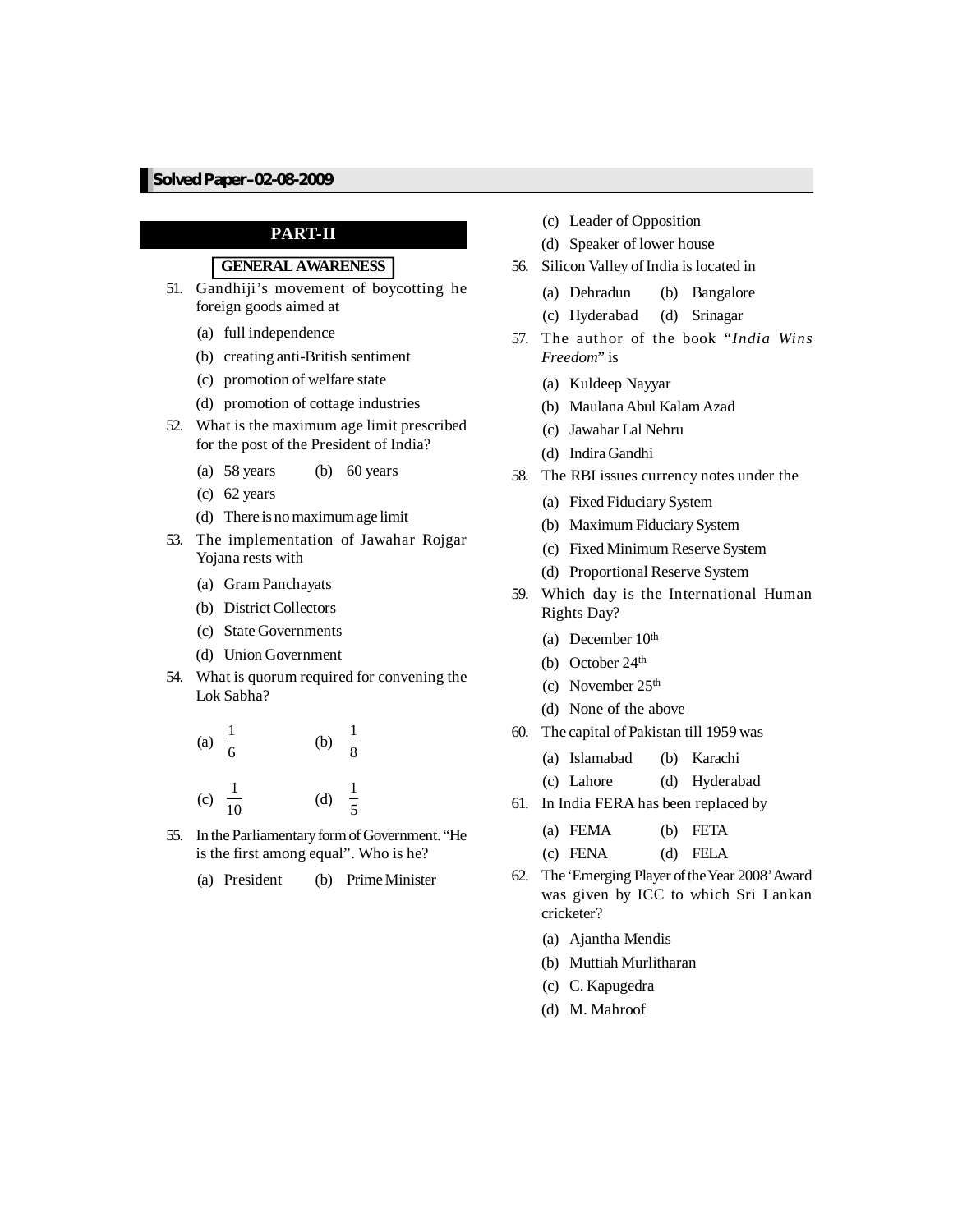# **PART-II**

# **GENERALAWARENESS**

- 51. Gandhiji's movement of boycotting he foreign goods aimed at
	- (a) full independence
	- (b) creating anti-British sentiment
	- (c) promotion of welfare state
	- (d) promotion of cottage industries
- 52. What is the maximum age limit prescribed for the post of the President of India?
	- (a) 58 years (b) 60 years
	- (c) 62 years
	- (d) There is nomaximumage limit
- 53. The implementation of Jawahar Rojgar Yojana rests with
	- (a) Gram Panchayats
	- (b) District Collectors
	- (c) State Governments
	- (d) Union Government
- 54. What is quorum required for convening the Lok Sabha?
	- (a)  $\frac{1}{5}$ 6 (b)  $\frac{1}{2}$ 8 (c)  $\frac{1}{16}$ 10 (d) 1 5
- 55. In the ParliamentaryformofGovernment. "He is the first among equal". Who is he?
	- (a) President (b) PrimeMinister
- (c) Leader of Opposition
- (d) Speaker of lower house
- 56. Silicon Valley of India is located in
	- (a) Dehradun (b) Bangalore
	- (c) Hyderabad (d) Srinagar
- 57. The author of the book "*India Wins Freedom*" is
	- (a) Kuldeep Nayyar
	- (b) MaulanaAbul KalamAzad
	- (c) Jawahar Lal Nehru
	- (d) Indira Gandhi
- 58. The RBI issues currency notes under the
	- (a) Fixed Fiduciary System
	- (b) Maximum Fiduciary System
	- (c) Fixed Minimum Reserve System
	- (d) Proportional Reserve System
- 59. Which day is the International Human Rights Day?
	- (a) December  $10<sup>th</sup>$
	- (b) October 24<sup>th</sup>
	- (c) November  $25<sup>th</sup>$
	- (d) None of the above
- 60. The capital of Pakistan till 1959 was
	- (a) Islamabad (b) Karachi
	- (c) Lahore (d) Hyderabad
- 61. In India FERA has been replaced by
	- (a) FEMA (b) FETA
	- (c) FENA (d) FELA
- 62. The 'Emerging Player of the Year 2008' Award was given by ICC to which Sri Lankan cricketer?
	- (a) Ajantha Mendis
	- (b) Muttiah Murlitharan
	- (c) C. Kapugedra
	- (d) M. Mahroof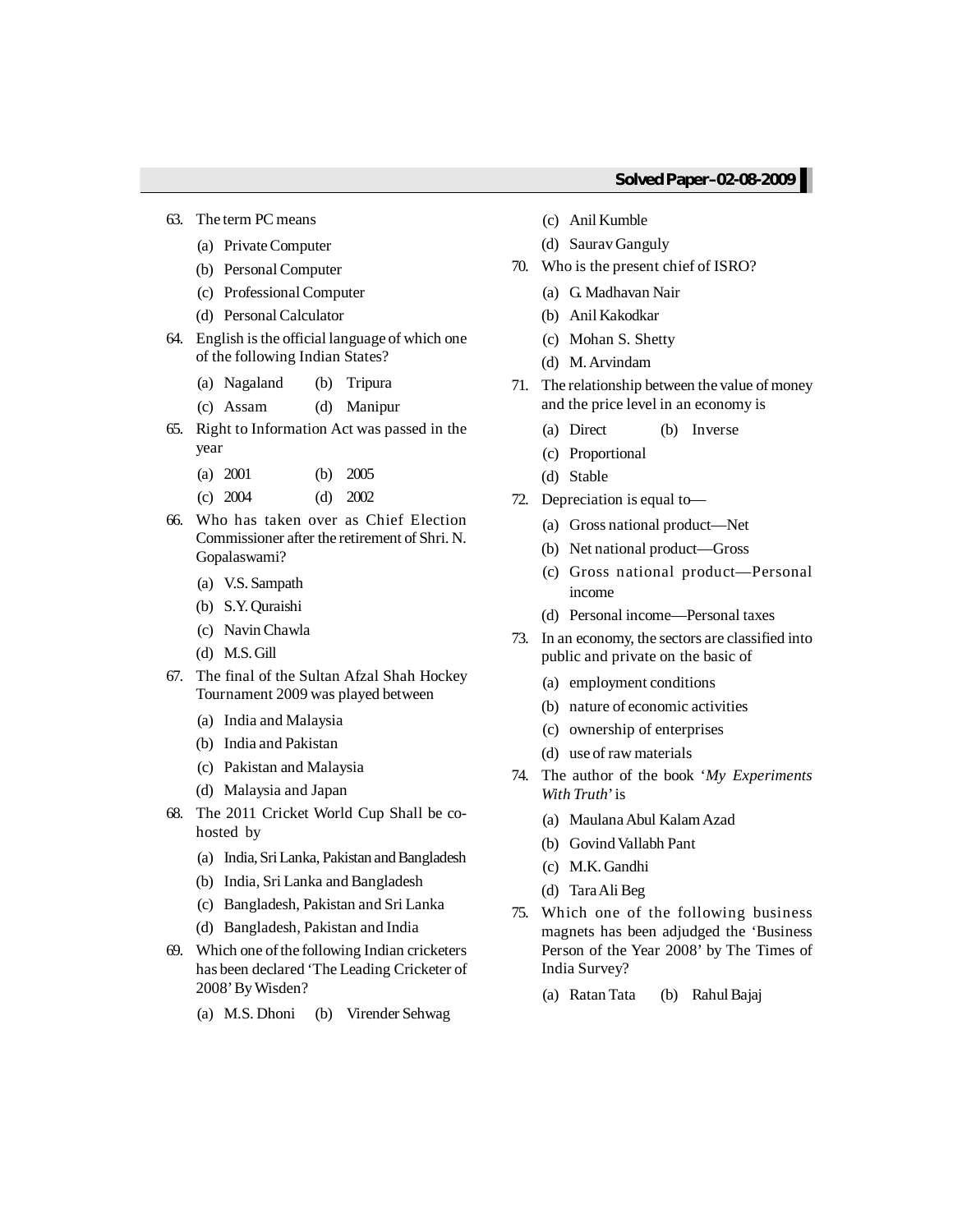- 63. The term PC means
	- (a) PrivateComputer
	- (b) Personal Computer
	- (c) Professional Computer
	- (d) Personal Calculator
- 64. English isthe official language of which one of the following Indian States?
	- (a) Nagaland (b) Tripura
	- (c) Assam (d) Manipur
- 65. Right to Information Act was passed in the year
	- (a) 2001 (b) 2005
	- (c) 2004 (d) 2002
- 66. Who has taken over as Chief Election Commissioner after the retirement of Shri. N. Gopalaswami?
	- (a) V.S. Sampath
	- (b) S.Y.Quraishi
	- (c) NavinChawla
	- (d) M.S.Gill
- 67. The final of the Sultan Afzal Shah Hockey Tournament 2009 was played between
	- (a) India and Malaysia
	- (b) India and Pakistan
	- (c) Pakistan and Malaysia
	- (d) Malaysia and Japan
- 68. The 2011 Cricket World Cup Shall be cohosted by
	- (a) India, Sri Lanka, Pakistan and Bangladesh
	- (b) India, Sri Lanka and Bangladesh
	- (c) Bangladesh, Pakistan and Sri Lanka
	- (d) Bangladesh, Pakistan and India
- 69. Which one of the following Indian cricketers has been declared 'The Leading Cricketer of 2008'ByWisden?
	- (a) M.S. Dhoni (b) Virender Sehwag
- (c) Anil Kumble
- (d) SauravGanguly
- 70. Who is the present chief of ISRO?
	- (a) G. Madhavan Nair
	- (b) Anil Kakodkar
	- (c) Mohan S. Shetty
	- (d) M.Arvindam
- 71. The relationship between the value of money and the price level in an economy is
	- (a) Direct (b) Inverse
	- (c) Proportional
	- (d) Stable
- 72. Depreciation is equal to—
	- (a) Gross national product—Net
	- (b) Net national product—Gross
	- (c) Gross national product—Personal income
	- (d) Personal income—Personal taxes
- 73. In an economy, the sectors are classified into public and private on the basic of
	- (a) employment conditions
	- (b) nature of economic activities
	- (c) ownership of enterprises
	- (d) use of raw materials
- 74. The author of the book '*My Experiments With Truth*'is
	- (a) MaulanaAbul KalamAzad
	- (b) Govind Vallabh Pant
	- (c) M.K. Gandhi
	- (d) TaraAli Beg
- 75. Which one of the following business magnets has been adjudged the 'Business Person of the Year 2008' by The Times of India Survey?
	- (a) Ratan Tata (b) RahulBajaj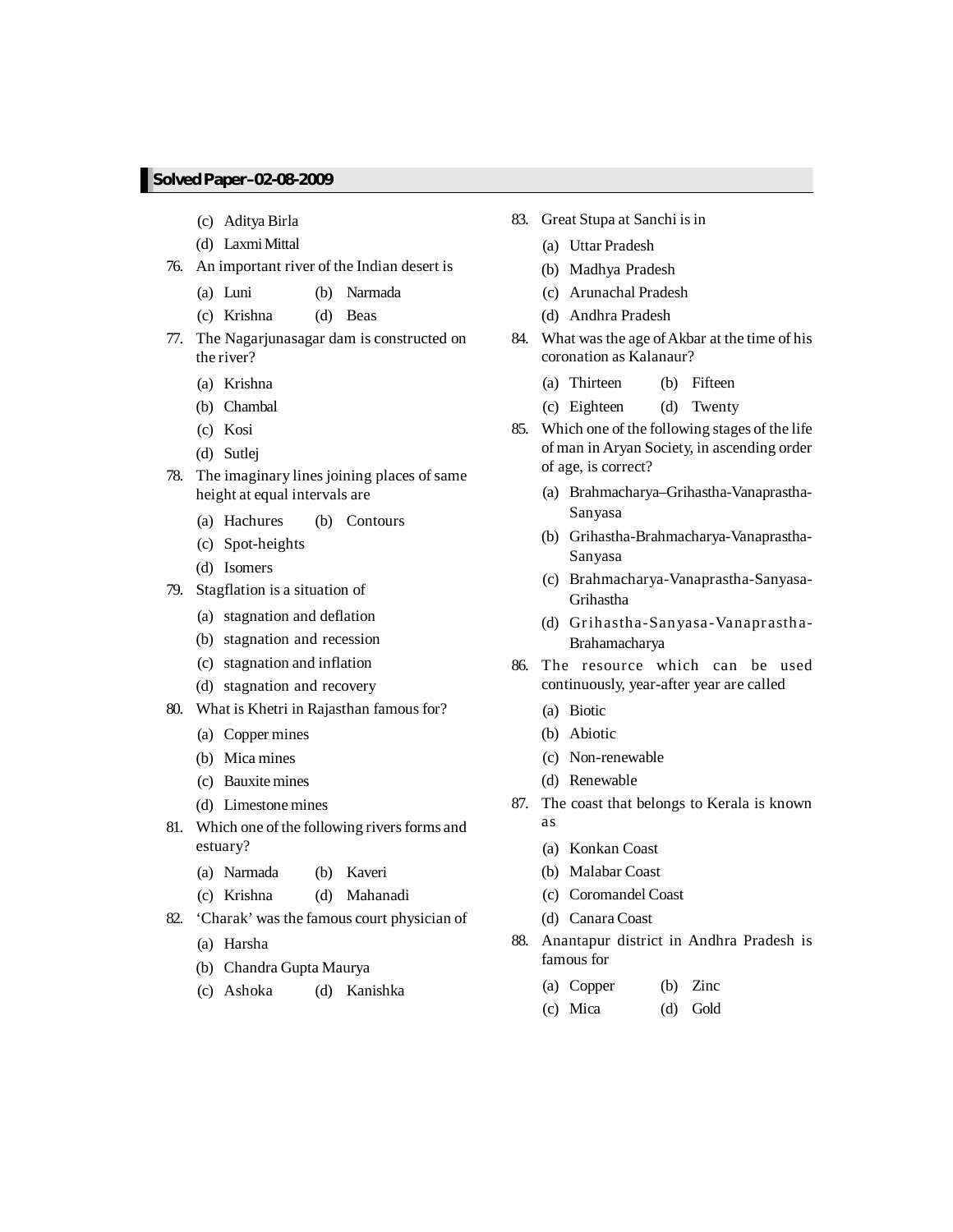- (c) Aditya Birla
- (d) LaxmiMittal
- 76. An important river of the Indian desert is
	- (a) Luni (b) Narmada
	- (c) Krishna (d) Beas
- 77. The Nagarjunasagar dam is constructed on the river?
	- (a) Krishna
	- (b) Chambal
	- (c) Kosi
	- (d) Sutlej
- 78. The imaginary lines joining places of same height at equal intervals are
	- (a) Hachures (b) Contours
	- (c) Spot-heights
	- (d) Isomers
- 79. Stagflation is a situation of
	- (a) stagnation and deflation
	- (b) stagnation and recession
	- (c) stagnation and inflation
	- (d) stagnation and recovery
- 80. What is Khetri in Rajasthan famous for?
	- (a) Copper mines
	- (b) Mica mines
	- (c) Bauxitemines
	- (d) Limestonemines
- 81. Which one of the following rivers forms and estuary?
	- (a) Narmada (b) Kaveri
	- (c) Krishna (d) Mahanadi
- 82. 'Charak' was the famous court physician of
	- (a) Harsha
	- (b) Chandra Gupta Maurya
	- (c) Ashoka (d) Kanishka
- 83. Great Stupa at Sanchi is in
	- (a) Uttar Pradesh
	- (b) Madhya Pradesh
	- (c) Arunachal Pradesh
	- (d) Andhra Pradesh
- 84. What was the age of Akbar at the time of his coronation as Kalanaur?
	- (a) Thirteen (b) Fifteen
	- (c) Eighteen (d) Twenty
- 85. Which one of the following stages of the life of man in Aryan Society, in ascending order of age, is correct?
	- (a) Brahmacharya–Grihastha-Vanaprastha-Sanyasa
	- (b) Grihastha-Brahmacharya-Vanaprastha-Sanyasa
	- (c) Brahmacharya-Vanaprastha-Sanyasa-Grihastha
	- (d) Grihastha-Sanyasa-Vanaprastha-Brahamacharya
- 86. The resource which can be used continuously, year-after year are called
	- (a) Biotic
	- (b) Abiotic
	- (c) Non-renewable
	- (d) Renewable
- 87. The coast that belongs to Kerala is known as
	- (a) Konkan Coast
	- (b) Malabar Coast
	- (c) Coromandel Coast
	- (d) Canara Coast
- 88. Anantapur district in Andhra Pradesh is famous for
	- (a) Copper (b) Zinc
	- (c) Mica (d) Gold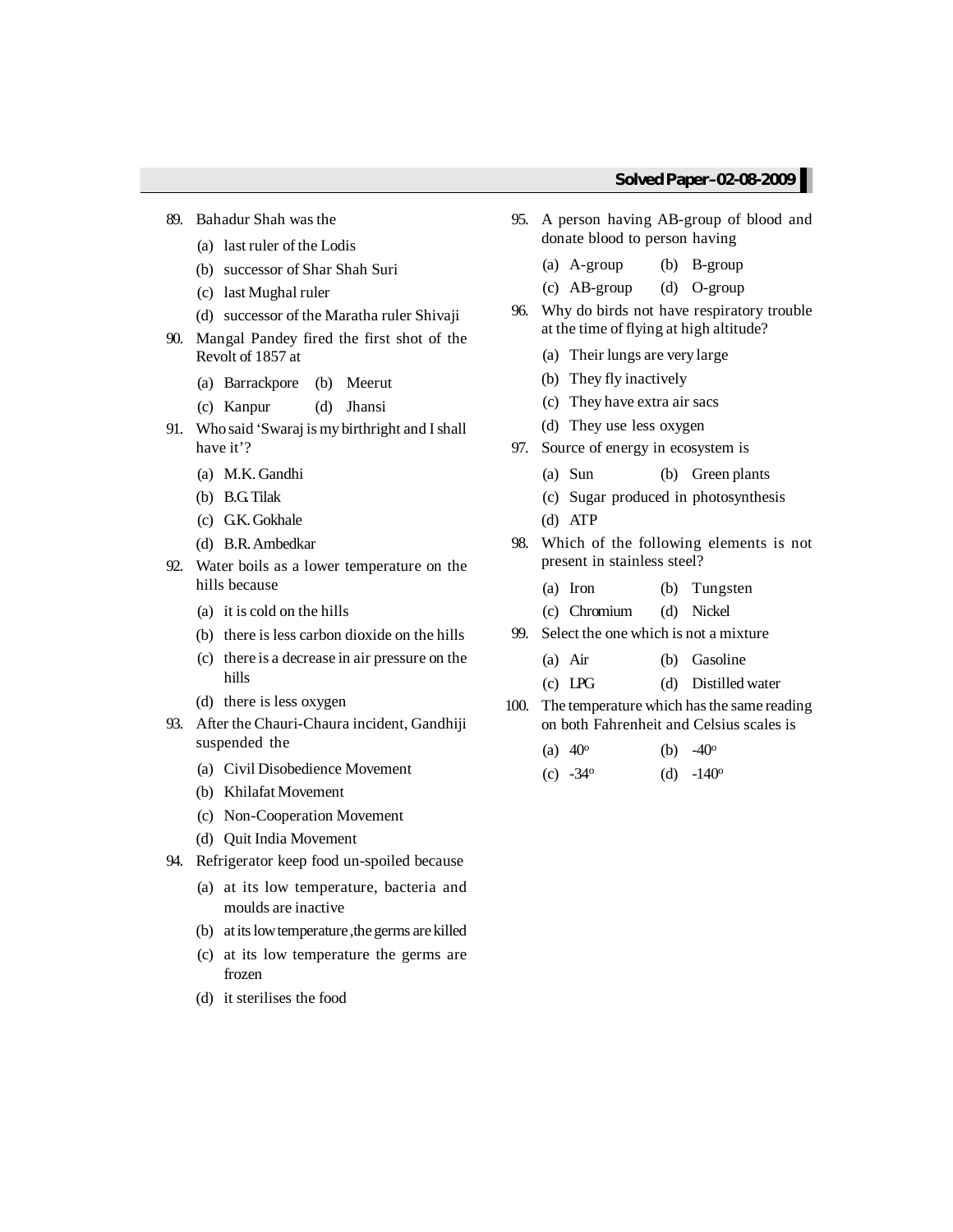- 89. Bahadur Shah was the
	- (a) last ruler of the Lodis
	- (b) successor of Shar Shah Suri
	- (c) last Mughal ruler
	- (d) successor of the Maratha ruler Shivaji
- 90. Mangal Pandey fired the first shot of the Revolt of 1857 at
	- (a) Barrackpore (b) Meerut
	- (c) Kanpur (d) Jhansi
- 91. Who said 'Swaraj is my birthright and Ishall have it'?
	- (a) M.K. Gandhi
	- (b) B.G.Tilak
	- (c) GK. Gokhale
	- (d) B.R.Ambedkar
- 92. Water boils as a lower temperature on the hills because
	- (a) it is cold on the hills
	- (b) there is less carbon dioxide on the hills
	- (c) there is a decrease in air pressure on the hills
	- (d) there is less oxygen
- 93. After the Chauri-Chaura incident, Gandhiji suspended the
	- (a) Civil Disobedience Movement
	- (b) Khilafat Movement
	- (c) Non-Cooperation Movement
	- (d) Quit India Movement
- 94. Refrigerator keep food un-spoiled because
	- (a) at its low temperature, bacteria and moulds are inactive
	- (b) at its low temperature, the germs are killed
	- (c) at its low temperature the germs are frozen
	- (d) it sterilises the food
- 95. A person having AB-group of blood and donate blood to person having
	- (a) A-group (b) B-group
	- (c) AB-group (d) O-group
- 96. Why do birds not have respiratory trouble at the time of flying at high altitude?
	- (a) Their lungs are very large
	- (b) They fly inactively
	- (c) They have extra air sacs
	- (d) They use less oxygen
- 97. Source of energy in ecosystem is
	- (a) Sun (b) Green plants
	- (c) Sugar produced in photosynthesis
	- (d) ATP
- 98. Which of the following elements is not present in stainless steel?
	- (a) Iron (b) Tungsten
	- (c) Chromium (d) Nickel
- 99. Select the one which is not a mixture
	- (a) Air (b) Gasoline
	- (c) LPG (d) Distilled water
- 100. The temperature which has the same reading on both Fahrenheit and Celsius scales is

| (a) $40^{\circ}$  | (b) $-40^{\circ}$ |
|-------------------|-------------------|
| (c) $-34^{\circ}$ | (d) $-140^\circ$  |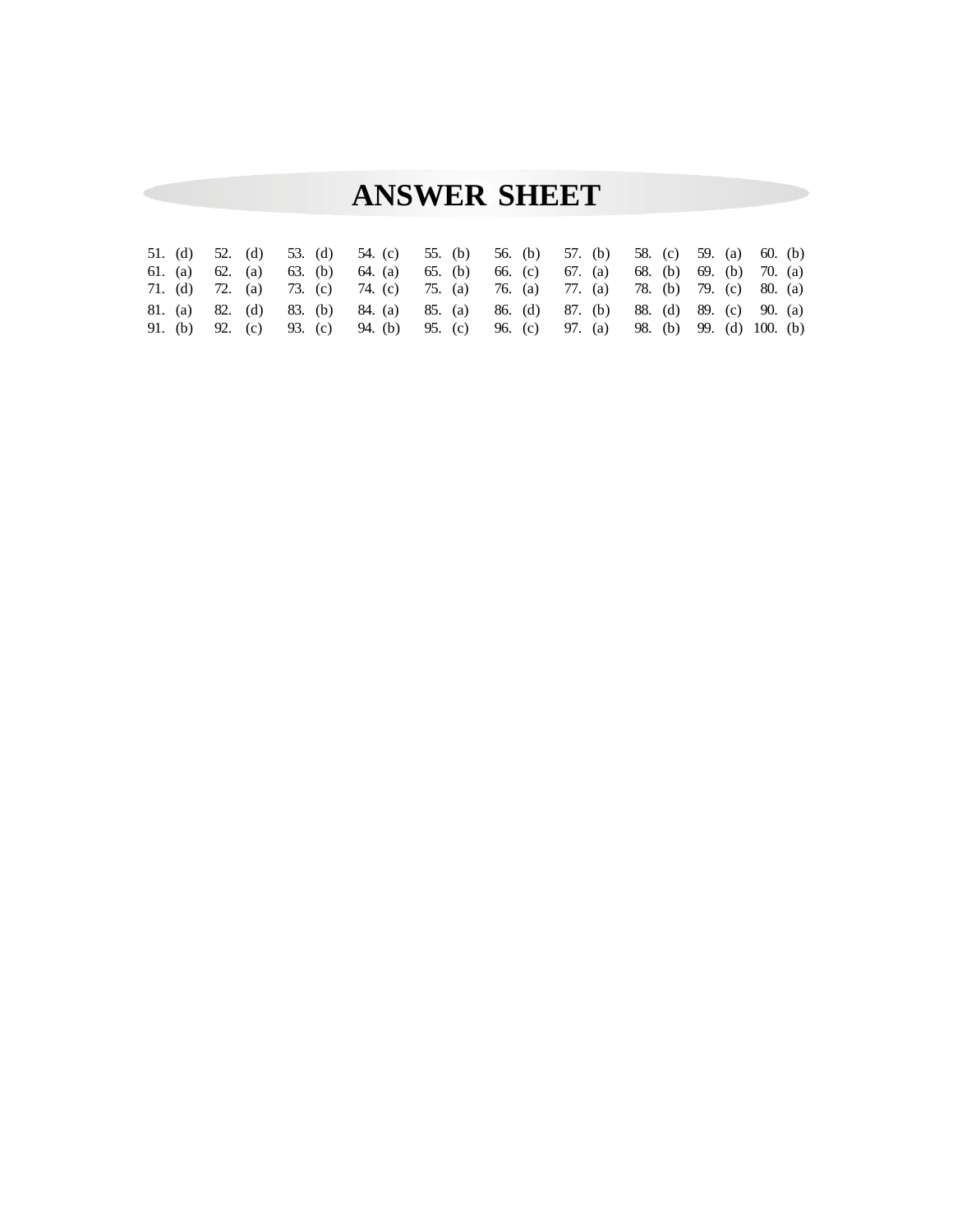# **ANSWER SHEET**

|  |  |  | 51. (d) 52. (d) 53. (d) 54. (c) 55. (b) 56. (b) 57. (b) 58. (c) 59. (a) 60. (b)  |  |  |  |  |  |  |
|--|--|--|----------------------------------------------------------------------------------|--|--|--|--|--|--|
|  |  |  | 61. (a) 62. (a) 63. (b) 64. (a) 65. (b) 66. (c) 67. (a) 68. (b) 69. (b) 70. (a)  |  |  |  |  |  |  |
|  |  |  | 71. (d) 72. (a) 73. (c) 74. (c) 75. (a) 76. (a) 77. (a) 78. (b) 79. (c) 80. (a)  |  |  |  |  |  |  |
|  |  |  | 81. (a) 82. (d) 83. (b) 84. (a) 85. (a) 86. (d) 87. (b) 88. (d) 89. (c) 90. (a)  |  |  |  |  |  |  |
|  |  |  | 91. (b) 92. (c) 93. (c) 94. (b) 95. (c) 96. (c) 97. (a) 98. (b) 99. (d) 100. (b) |  |  |  |  |  |  |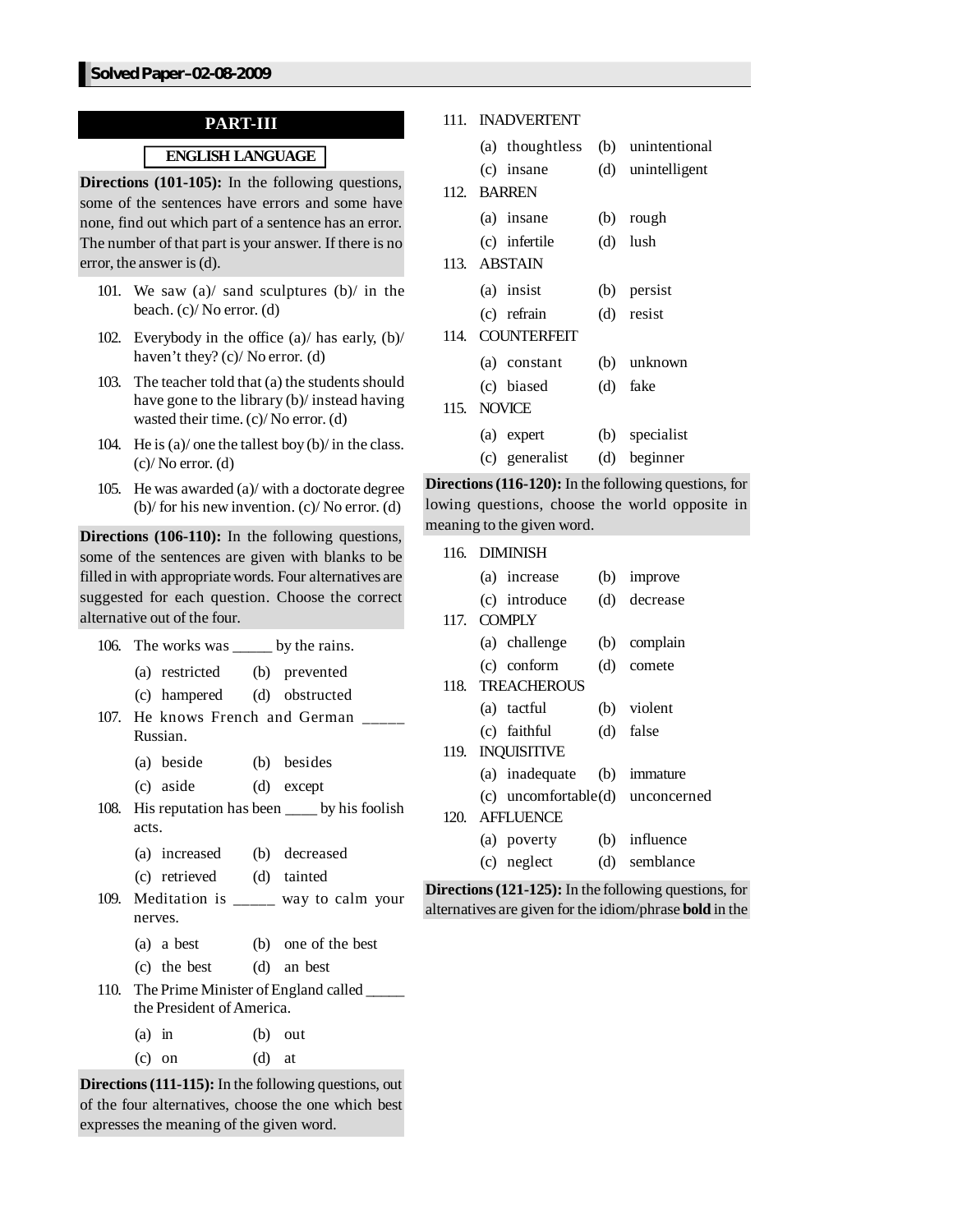# **PART-III**

# **ENGLISH LANGUAGE**

**Directions (101-105):** In the following questions, some of the sentences have errors and some have none, find out which part of a sentence has an error. The number of that part is your answer. If there is no error, the answer is (d).

- 101. We saw (a)/ sand sculptures (b)/ in the beach. (c)/ No error. (d)
- 102. Everybody in the office (a)/ has early, (b)/ haven't they? (c)/ No error. (d)
- 103. The teacher told that  $(a)$  the students should have gone to the library (b)/ instead having wasted their time. (c)/ No error. (d)
- 104. He is (a)/ one the tallest boy (b)/ in the class.  $(c)/$  No error.  $(d)$
- 105. He was awarded (a)/ with a doctorate degree (b)/ for his new invention. (c)/ No error. (d)

**Directions (106-110):** In the following questions, some of the sentences are given with blanks to be filled in with appropriate words. Four alternatives are suggested for each question. Choose the correct alternative out of the four.

| 106. The works was _____ by the rains.      |                                                   |
|---------------------------------------------|---------------------------------------------------|
| (a) restricted (b) prevented                |                                                   |
| (c) hampered (d) obstructed                 |                                                   |
| 107. He knows French and German<br>Russian. |                                                   |
| (a) beside (b) besides                      |                                                   |
| (c) aside (d) except                        |                                                   |
|                                             | 108. His reputation has been _____ by his foolish |
| acts.                                       |                                                   |
| (a) increased (b) decreased                 |                                                   |
| (c) retrieved (d) tainted                   |                                                   |
|                                             | 109. Meditation is _____ way to calm your         |
| nerves.                                     |                                                   |
| (a) a best (b) one of the best              |                                                   |
| (c) the best (d) an best                    |                                                   |
|                                             | 110. The Prime Minister of England called         |
| the President of America.                   |                                                   |
| $(a)$ in                                    | $(b)$ out                                         |

**Directions(111-115):** In the following questions, out of the four alternatives, choose the one which best expresses the meaning of the given word.

 $(c)$  on  $(d)$  at

#### 111. INADVERTENT

|      | (a) thoughtless (b) unintentional |                   |
|------|-----------------------------------|-------------------|
|      | (c) insane                        | (d) unintelligent |
|      | 112. BARREN                       |                   |
|      | (a) insane                        | (b) rough         |
|      | (c) infertile                     | $(d)$ lush        |
|      | 113. ABSTAIN                      |                   |
|      | (a) insist                        | (b) persist       |
|      | (c) refrain                       | (d) resist        |
| 114. | <b>COUNTERFEIT</b>                |                   |
|      | (a) constant                      | (b) unknown       |
|      | (c) biased                        | (d) fake          |
|      | 115. NOVICE                       |                   |
|      | (a) expert                        | (b) specialist    |
|      | (c) generalist                    | (d) beginner      |

**Directions(116-120):** In the following questions, for lowing questions, choose the world opposite in meaning to the given word.

|  | 116. DIMINISH               |     |                                                              |
|--|-----------------------------|-----|--------------------------------------------------------------|
|  | (a) increase                | (b) | improve                                                      |
|  | (c) introduce               |     | (d) decrease                                                 |
|  | 117. COMPLY                 |     |                                                              |
|  | (a) challenge               |     | (b) complain                                                 |
|  | (c) conform                 |     | (d) comete                                                   |
|  | 118. TREACHEROUS            |     |                                                              |
|  | (a) tactful                 |     | (b) violent                                                  |
|  | (c) faithful                |     | (d) false                                                    |
|  | 119. INQUISITIVE            |     |                                                              |
|  | (a) inadequate (b) immature |     |                                                              |
|  |                             |     | (c) uncomfortable(d) unconcerned                             |
|  | 120. AFFLUENCE              |     |                                                              |
|  | (a) poverty                 |     | (b) influence                                                |
|  | (c) neglect                 |     | (d) semblance                                                |
|  |                             |     | <b>Directions (121-125):</b> In the following questions, for |

alternatives are given for the idiom/phrase **bold** in the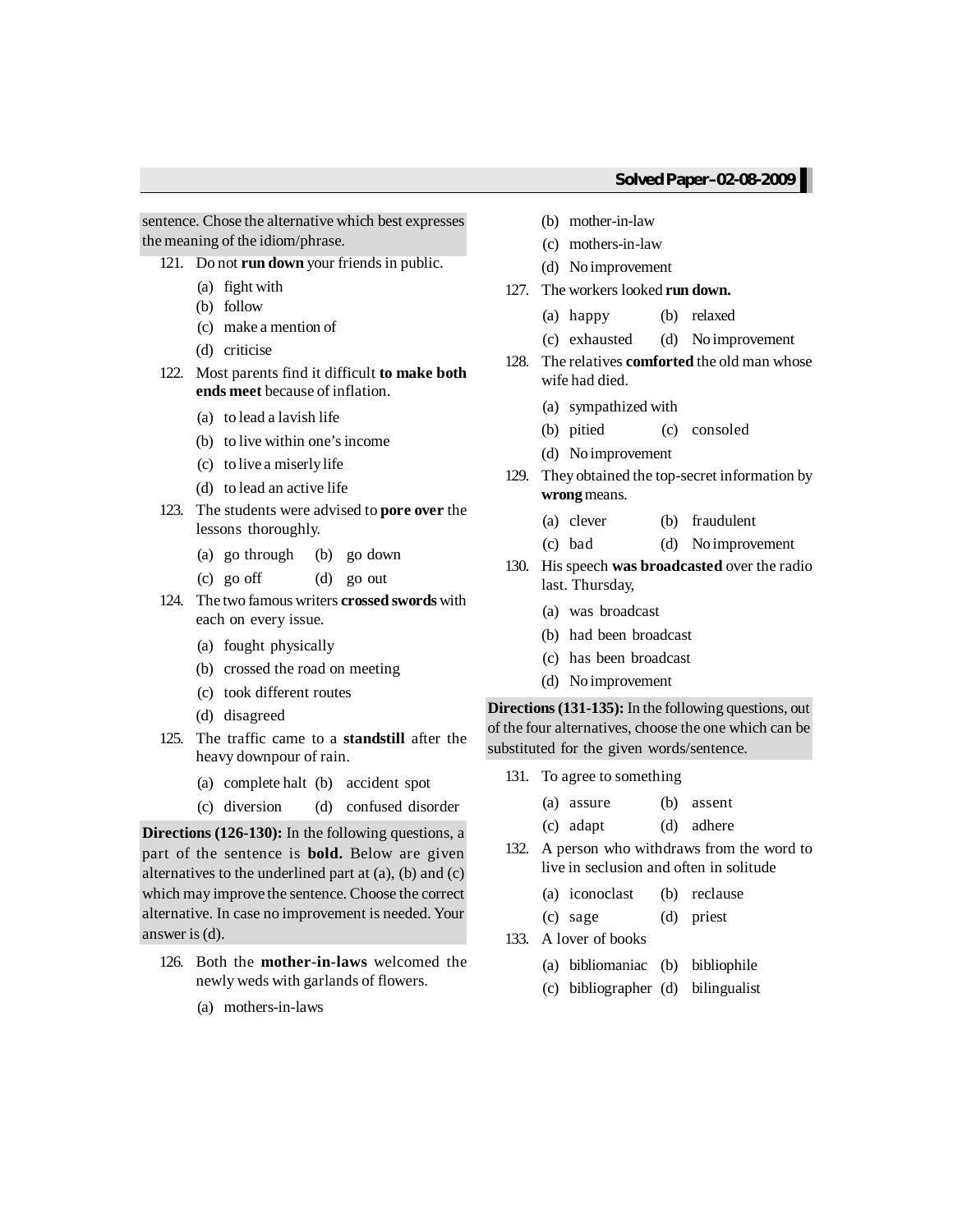sentence. Chose the alternative which best expresses the meaning of the idiom/phrase.

- 121. Do not **run down** your friends in public.
	- (a) fight with
	- (b) follow
	- (c) make a mention of
	- (d) criticise
- 122. Most parents find it difficult **to make both ends meet** because of inflation.
	- (a) to lead a lavish life
	- (b) to live within one's income
	- (c) to live a miserlylife
	- (d) to lead an active life
- 123. The students were advised to **pore over** the lessons thoroughly.
	- (a) go through (b) go down
	- (c) go off (d) go out
- 124. The two famous writers **crossed swords** with each on every issue.
	- (a) fought physically
	- (b) crossed the road on meeting
	- (c) took different routes
	- (d) disagreed
- 125. The traffic came to a **standstill** after the heavy downpour of rain.
	- (a) complete halt (b) accident spot
	- (c) diversion (d) confused disorder

**Directions (126-130):** In the following questions, a part of the sentence is **bold.** Below are given alternatives to the underlined part at (a), (b) and (c) which may improve the sentence. Choose the correct alternative. In case no improvement is needed. Your answer is  $(d)$ .

- 126. Both the **mother-in-laws** welcomed the newly weds with garlands of flowers.
	- (a) mothers-in-laws
- (b) mother-in-law
- (c) mothers-in-law
- (d) No improvement
- 127. The workers looked **run down.**
	- (a) happy (b) relaxed
	- (c) exhausted (d) No improvement
- 128. The relatives **comforted** the old man whose wife had died.
	- (a) sympathized with
	- (b) pitied (c) consoled
	- (d) No improvement
- 129. They obtained the top-secret information by **wrong** means.
	- (a) clever (b) fraudulent
	- (c) bad (d) No improvement
- 130. His speech **was broadcasted** over the radio last. Thursday,
	- (a) was broadcast
	- (b) had been broadcast
	- (c) has been broadcast
	- (d) No improvement

**Directions (131-135):** In the following questions, out of the four alternatives, choose the one which can be substituted for the given words/sentence.

131. To agree to something

| (a) assure | (b) assent |
|------------|------------|
| (c) adapt  | (d) adhere |

132. A person who withdraws from the word to live in seclusion and often in solitude

| (a) iconoclast | (b) reclause |
|----------------|--------------|
| (c) sage       | (d) priest   |

- 
- 133. A lover of books
	- (a) bibliomaniac (b) bibliophile
	- (c) bibliographer (d) bilingualist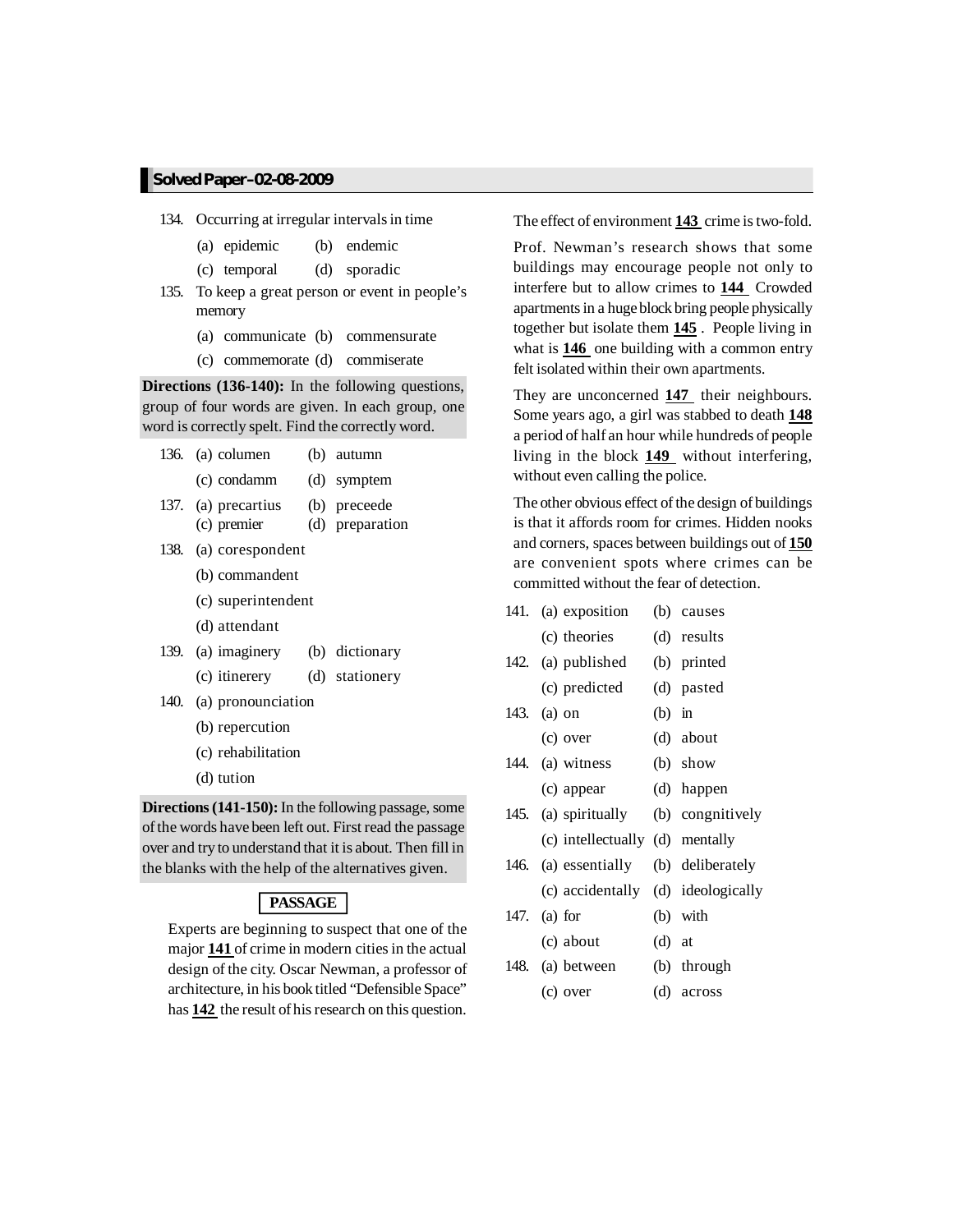- 134. Occurring at irregular intervals in time
	- (a) epidemic (b) endemic
	- (c) temporal (d) sporadic
- 135. To keep a great person or event in people's memory
	- (a) communicate (b) commensurate
	- (c) commemorate (d) commiserate

**Directions (136-140):** In the following questions, group of four words are given. In each group, one word is correctly spelt. Find the correctly word.

|      | 136. (a) columen                                                                         | (b) autumn      |
|------|------------------------------------------------------------------------------------------|-----------------|
|      | (c) condamm (d) symptem                                                                  |                 |
|      | 137. (a) precartius (b) preceede                                                         |                 |
|      | (c) premier                                                                              | (d) preparation |
|      | 138. (a) corespondent                                                                    |                 |
|      | (b) commandent                                                                           |                 |
|      | (c) superintendent                                                                       |                 |
|      | (d) attendant                                                                            |                 |
|      | 139. (a) imaginery (b) dictionary                                                        |                 |
|      | (c) itinerery (d) stationery                                                             |                 |
| 140. | (a) pronounciation                                                                       |                 |
|      | (b) repercution                                                                          |                 |
|      | (c) rehabilitation                                                                       |                 |
|      | (d) tution                                                                               |                 |
|      | $\mathbf{A}$ = $\mathbf{A}$ (1.41.150). Let $\mathbf{A}$ = $\mathbf{C}$ 11. $\mathbf{A}$ |                 |

**Directions (141-150):** In the following passage, some of the words have been left out. First read the passage over and try to understand that it is about. Then fill in the blanks with the help of the alternatives given.

#### **PASSAGE**

Experts are beginning to suspect that one of the major **141** of crime in modern cities in the actual design of the city. Oscar Newman, a professor of architecture, in his book titled "Defensible Space" has **142** the result of his research on this question.

The effect of environment **143** crime istwo-fold.

Prof. Newman's research shows that some buildings may encourage people not only to interfere but to allow crimes to **144** Crowded apartments in a huge block bring people physically together but isolate them **145** . People living in what is **146** one building with a common entry felt isolated within their own apartments.

They are unconcerned **147** their neighbours. Some years ago, a girl was stabbed to death **148** a period of half an hour while hundreds of people living in the block **149** without interfering, without even calling the police.

The other obvious effect of the design of buildings is that it affords room for crimes. Hidden nooks and corners, spaces between buildings out of **150** are convenient spots where crimes can be committed without the fear of detection.

| 141. | (a) exposition                     |          | (b) causes       |
|------|------------------------------------|----------|------------------|
|      | (c) theories                       |          | (d) results      |
|      | 142. (a) published                 |          | (b) printed      |
|      | (c) predicted                      |          | (d) pasted       |
|      | 143. (a) on                        | $(b)$ in |                  |
|      | (c) over                           |          | (d) about        |
|      | 144. (a) witness                   |          | $(b)$ show       |
|      | (c) appear                         |          | (d) happen       |
|      | 145. (a) spiritually               |          | (b) congnitively |
|      | (c) intellectually (d) mentally    |          |                  |
|      | 146. (a) essentially               |          | (b) deliberately |
|      | (c) accidentally (d) ideologically |          |                  |
|      | 147. (a) for                       |          | (b) with         |
|      | (c) about                          | $(d)$ at |                  |
|      | 148. (a) between                   |          | (b) through      |
|      | (c) over                           |          | (d) across       |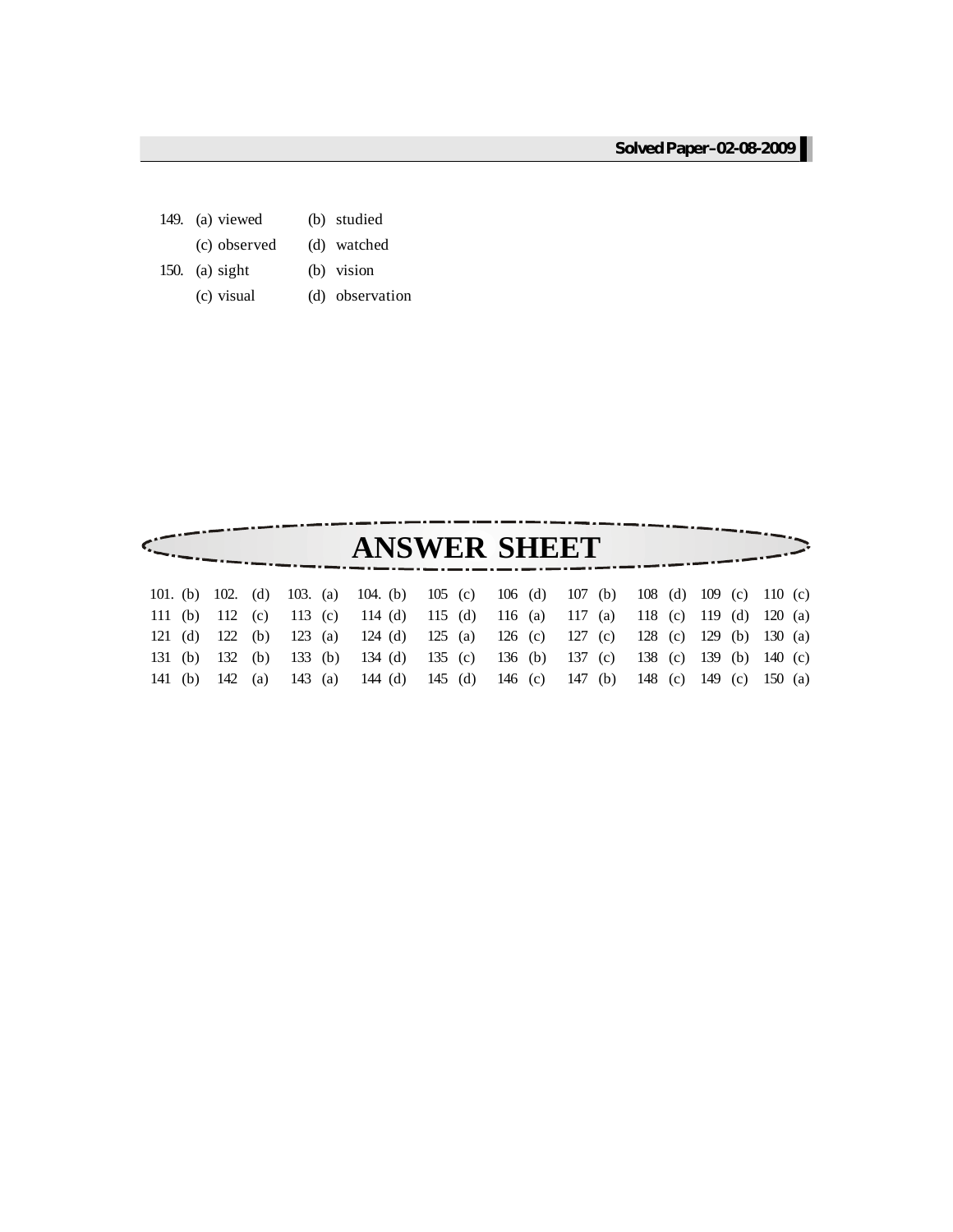- 149. (a) viewed (b) studied (c) observed (d) watched
- 150. (a) sight (b) vision
	- (c) visual (d) observation

|         |  |  |  | <b>ANSWER SHEET</b>                                                                 |                         |  |
|---------|--|--|--|-------------------------------------------------------------------------------------|-------------------------|--|
|         |  |  |  | 101. (b) 102. (d) 103. (a) 104. (b) 105 (c) 106 (d) 107 (b) 108 (d) 109 (c) 110 (c) |                         |  |
|         |  |  |  | 111 (b) 112 (c) 113 (c) 114 (d) 115 (d) 116 (a) 117 (a) 118 (c) 119 (d) 120 (a)     |                         |  |
|         |  |  |  | 121 (d) 122 (b) 123 (a) 124 (d) 125 (a) 126 (c) 127 (c) 128 (c) 129 (b) 130 (a)     |                         |  |
|         |  |  |  | 131 (b) 132 (b) 133 (b) 134 (d) 135 (c) 136 (b) 137 (c) 138 (c) 139 (b) 140 (c)     |                         |  |
| 141 (b) |  |  |  | 142 (a) 143 (a) 144 (d) 145 (d) 146 (c) 147 (b)                                     | 148 (c) 149 (c) 150 (a) |  |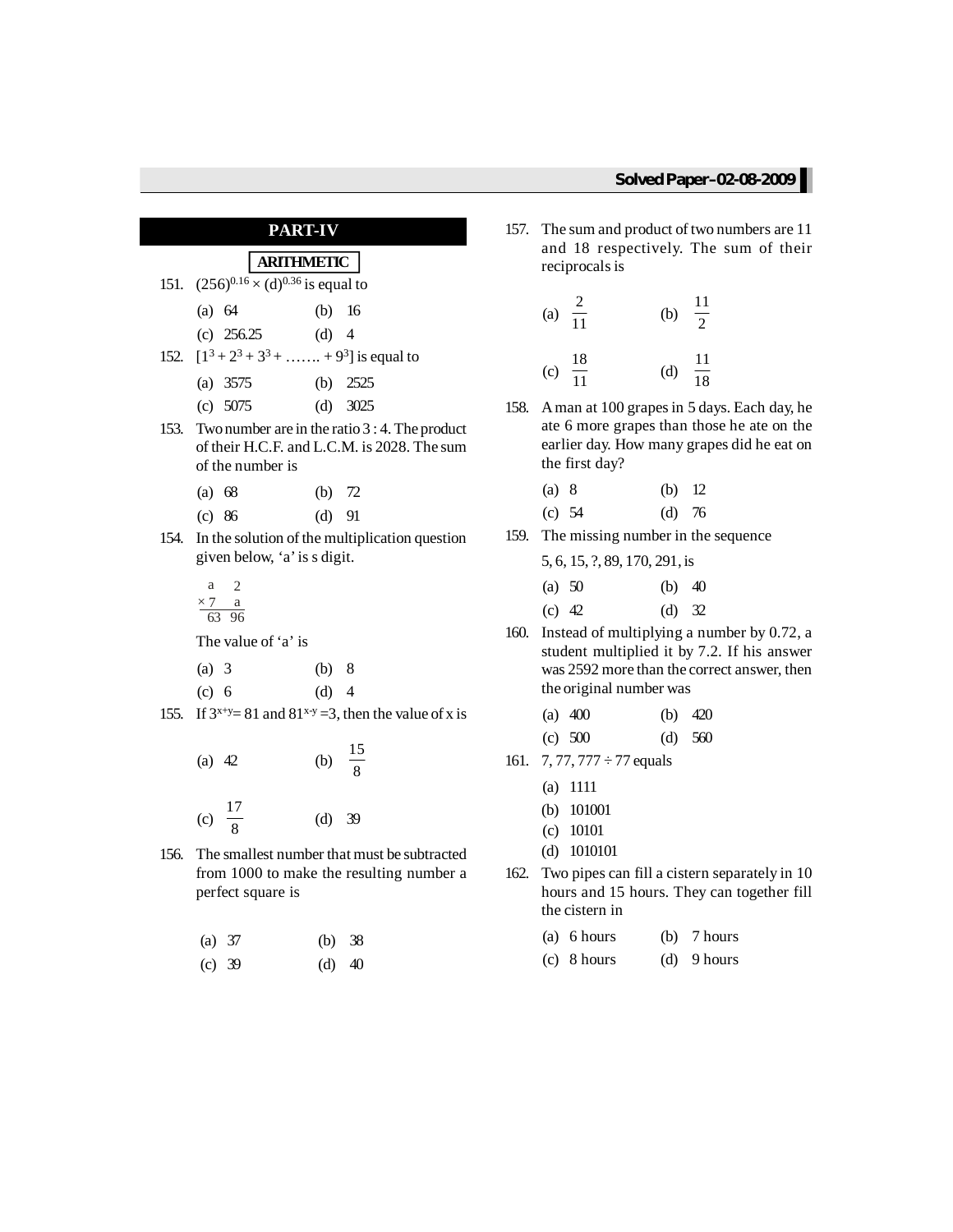# **PART-IV**

# **ARITHMETIC**

- 151.  $(256)^{0.16} \times (d)^{0.36}$  is equal to
	- (a) 64 (b) 16
	- (c) 256.25 (d) 4
- 152.  $[1^3 + 2^3 + 3^3 + \ldots + 9^3]$  is equal to
	- (a) 3575 (b) 2525
	- (c) 5075 (d) 3025
- 153. Twonumber are in the ratio 3 : 4. The product of their H.C.F. and L.C.M. is 2028. The sum of the number is
	- (a) 68 (b) 72
	- (c) 86 (d) 91
- 154. In the solution of the multiplication question given below, 'a'is s digit.
	- a 2  $\times 7$  a 63 96

The value of 'a' is

- (a) 3 (b) 8
- (c) 6 (d) 4
- 155. If  $3^{x+y}=81$  and  $81^{x-y}=3$ , then the value of x is
	- (a) 42 (b) 15 8 (c)  $\frac{17}{9}$ 8 (d) 39
- 156. The smallest number that must be subtracted from 1000 to make the resulting number a perfect square is
	- (a) 37 (b) 38
	- (c) 39 (d) 40
- 157. The sum and product of two numbers are 11 and 18 respectively. The sum of their reciprocals is
	- (a)  $\frac{2}{11}$ 11 (b)  $\frac{11}{2}$ 2 (c)  $\frac{18}{11}$ 11 (d)  $\frac{11}{18}$ 18
- 158. Aman at 100 grapesin 5 days. Each day, he ate 6 more grapes than those he ate on the earlier day. How many grapes did he eat on the first day?
	- (a) 8 (b) 12 (c) 54 (d) 76
- 159. The missing number in the sequence

|        | 5, 6, 15, ?, 89, 170, 291, is |          |  |
|--------|-------------------------------|----------|--|
| (a) 50 |                               | (b) $40$ |  |

| $\mu$ $\sim$ | $\sqrt{U}$ |  |
|--------------|------------|--|
| (c) $42$     | $(d)$ 32   |  |

160. Instead of multiplying a number by 0.72, a student multiplied it by 7.2. If his answer was 2592 more than the correct answer, then the original number was

| (a) $400$ |  | (b) $420$ |
|-----------|--|-----------|
|           |  |           |

- (c) 500 (d) 560
- 161. 7, 77, 777  $\div$  77 equals
	- (a) 1111
	- (b) 101001
	- (c) 10101
	- (d) 1010101
- 162. Two pipes can fill a cistern separately in 10 hours and 15 hours. They can together fill the cistern in
	- (a) 6 hours (b) 7 hours
	- (c) 8 hours (d) 9 hours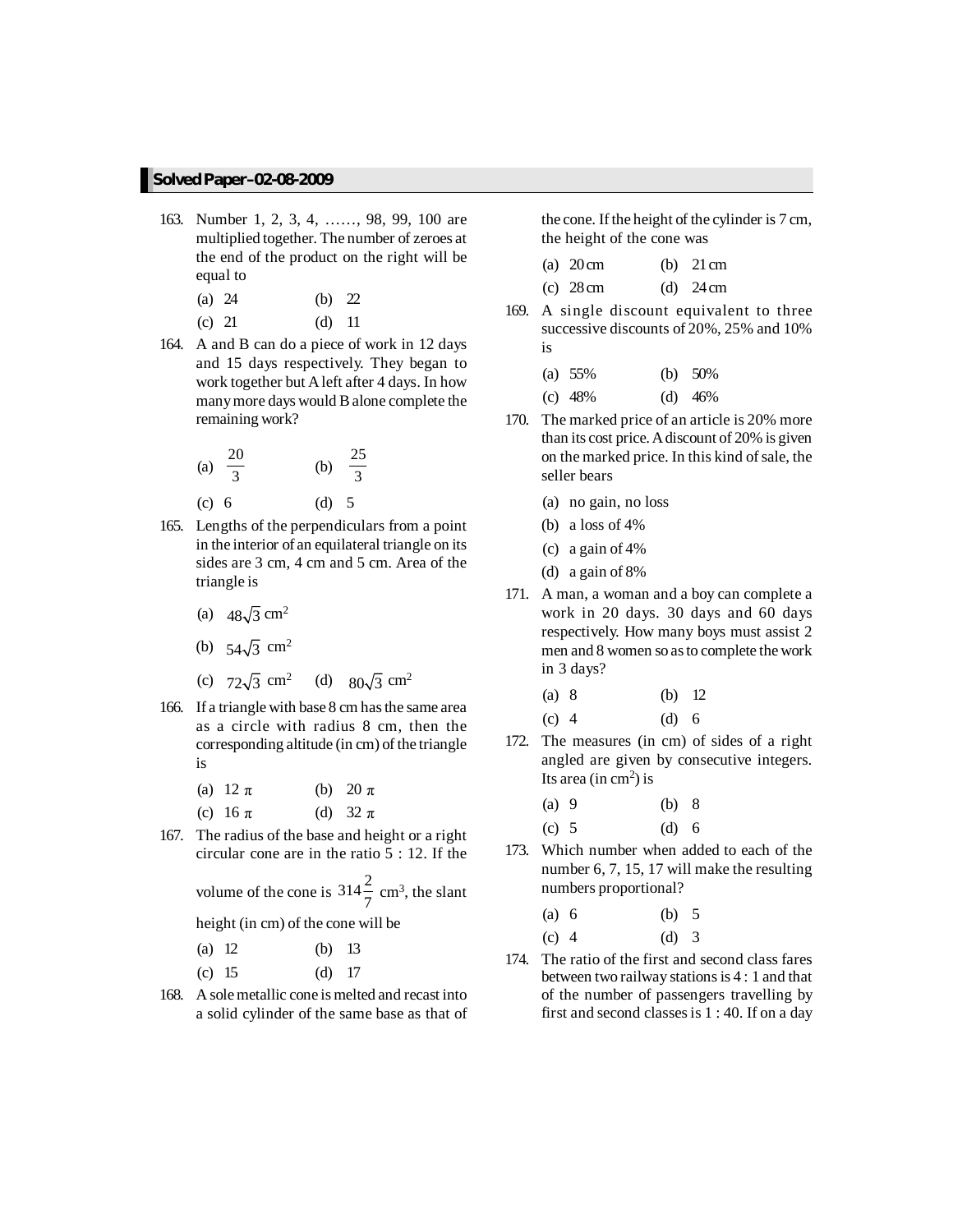- 163. Number 1, 2, 3, 4, ……, 98, 99, 100 are multiplied together. The number of zeroes at the end of the product on the right will be equal to
	- (a) 24 (b) 22
	- (c) 21 (d) 11
- 164. A and B can do a piece of work in 12 days and 15 days respectively. They began to work together but Aleft after 4 days. In how manymore days would Balone complete the remaining work?

(a) 
$$
\frac{20}{3}
$$
 (b)  $\frac{25}{3}$   
(c) 6 (d) 5

- 165. Lengths of the perpendiculars from a point in the interior of an equilateral triangle on its sides are 3 cm, 4 cm and 5 cm. Area of the triangle is
	- (a)  $48\sqrt{3}$  cm<sup>2</sup>
	- (b)  $54\sqrt{3}$  cm<sup>2</sup>
	- (c)  $72\sqrt{3}$  cm<sup>2</sup> (d)  $80\sqrt{3}$  cm<sup>2</sup>
- 166. If a triangle with base 8 cm has the same area as a circle with radius 8 cm, then the corresponding altitude (in cm) of the triangle is
	- (a)  $12 \pi$  (b)  $20 \pi$
	- (c)  $16 \pi$  (d)  $32 \pi$
- 167. The radius of the base and height or a right circular cone are in the ratio 5 : 12. If the

volume of the cone is  $314\frac{2}{7}$  cm<sup>3</sup>, the slant

height (in cm) of the cone will be

| (a) 12 |  | (b) $13$ |
|--------|--|----------|
|        |  |          |

- (c) 15 (d) 17
- 168. A solemetallic cone is melted and recast into a solid cylinder of the same base as that of

the cone. If the height of the cylinder is 7 cm, the height of the cone was

| (a) $20 \text{ cm}$ | (b) $21 \text{ cm}$ |
|---------------------|---------------------|
| $(c)$ 28 cm         | (d) $24 \text{ cm}$ |

169. A single discount equivalent to three successive discounts of 20%, 25% and 10% is

| (a) $55%$ | (b) $50\%$ |
|-----------|------------|
| (c) $48%$ | $(d)$ 46%  |

- 170. The marked price of an article is 20% more than its cost price.Adiscount of 20% is given on the marked price. In this kind ofsale, the seller bears
	- (a) no gain, no loss
	- (b) a loss of  $4\%$
	- (c) a gain of 4%
	- (d) a gain of 8%
- 171. A man, a woman and a boy can complete a work in 20 days. 30 days and 60 days respectively. How many boys must assist 2 men and 8 women so asto complete the work in 3 days?

| (a) 8 |         | (b) $12$ |
|-------|---------|----------|
| (c) 4 | $(d)$ 6 |          |

172. The measures (in cm) of sides of a right angled are given by consecutive integers. Its area (in  $\text{cm}^2$ ) is

| $(a)$ 9 | (b) 8   |  |
|---------|---------|--|
| $(c)$ 5 | $(d)$ 6 |  |

173. Which number when added to each of the number 6, 7, 15, 17 will make the resulting numbers proportional?

| (a) 6   | (b) 5   |  |
|---------|---------|--|
| $(c)$ 4 | (d) $3$ |  |

174. The ratio of the first and second class fares between two railway stations is  $4:1$  and that of the number of passengers travelling by first and second classesis 1 : 40. If on a day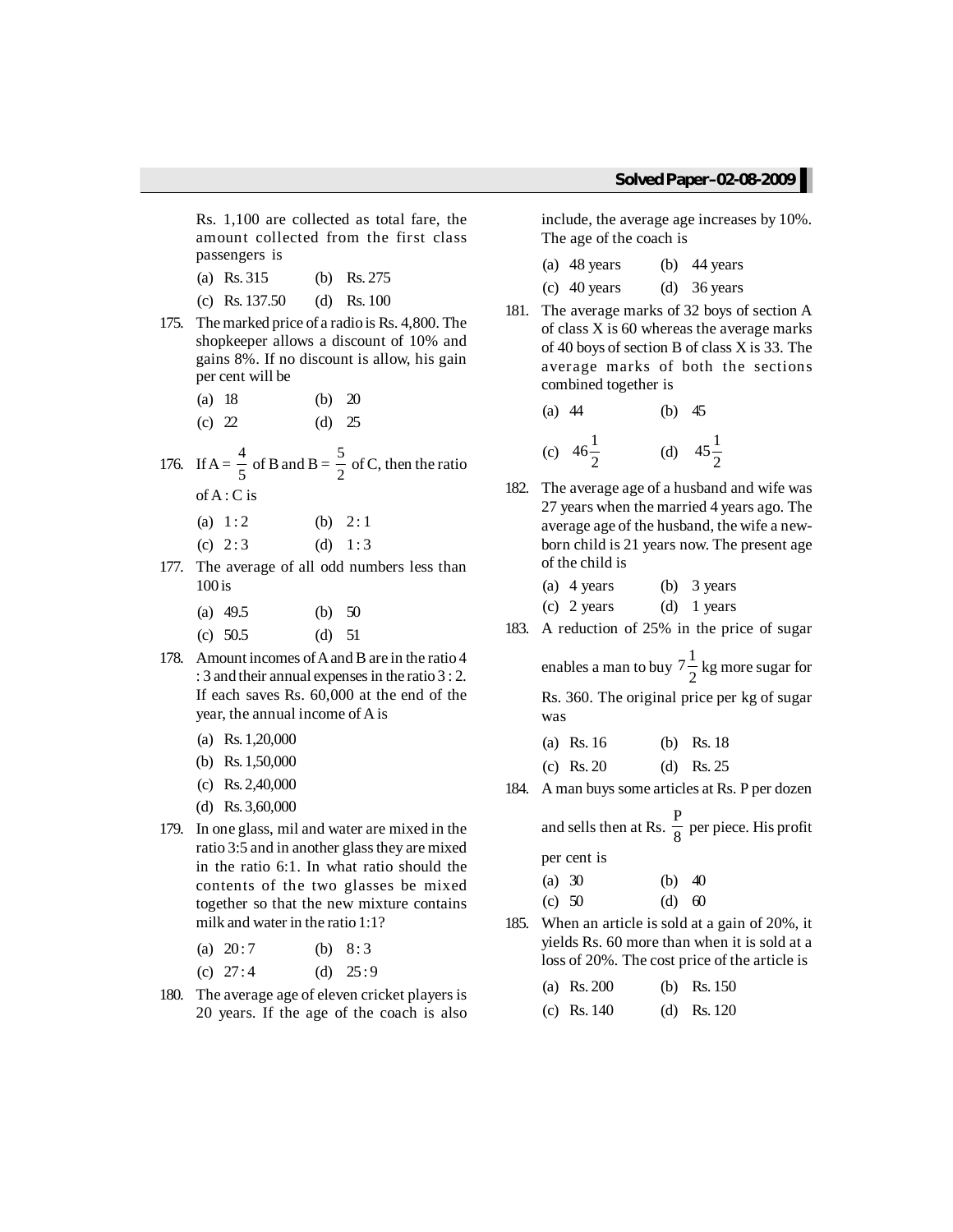Rs. 1,100 are collected as total fare, the amount collected from the first class passengers is

- (a) Rs. 315 (b) Rs. 275
- (c) Rs. 137.50 (d) Rs. 100
- 175. Themarked price of a radio is Rs. 4,800. The shopkeeper allows a discount of 10% and gains 8%. If no discount is allow, his gain per cent will be
	- (a) 18 (b) 20
	- (c)  $22$  (d)  $25$
- 176. If  $A = \frac{4}{5}$  $\frac{4}{5}$  of B and B =  $\frac{5}{2}$  $\frac{1}{2}$  of C, then the ratio ofA : C is
	- (a)  $1:2$  (b)  $2:1$
	- (c)  $2:3$  (d)  $1:3$
- 177. The average of all odd numbers less than 100 is
	- (a) 49.5 (b) 50
	- (c) 50.5 (d) 51
- 178. Amount incomes of A and B are in the ratio 4 : 3 and their annual expenses in the ratio 3 : 2. If each saves Rs. 60,000 at the end of the year, the annual income of A is
	- (a) Rs. 1,20,000
	- (b) Rs. 1,50,000
	- (c) Rs. 2,40,000
	- (d) Rs. 3,60,000
- 179. In one glass, mil and water are mixed in the ratio 3:5 and in another glass they are mixed in the ratio 6:1. In what ratio should the contents of the two glasses be mixed together so that the new mixture contains milk and water in the ratio 1:1?
	- (a)  $20:7$  (b)  $8:3$
	- (c)  $27:4$  (d)  $25:9$
- 180. The average age of eleven cricket players is 20 years. If the age of the coach is also

include, the average age increases by 10%. The age of the coach is

| $(a)$ 48 years | (b) $44 \text{ years}$ |
|----------------|------------------------|
| $(c)$ 40 years | (d) $36 \text{ years}$ |

181. The average marks of 32 boys of section A of class X is 60 whereas the average marks of 40 boys of section B of class X is 33. The average marks of both the sections combined together is

(a) 44 (b) 45  
(c) 
$$
46\frac{1}{2}
$$
 (d)  $45\frac{1}{2}$ 

182. The average age of a husband and wife was 27 years when the married 4 years ago. The average age of the husband, the wife a newborn child is 21 years now. The present age of the child is

| (a) 4 years | (b) $3 \text{ years}$ |
|-------------|-----------------------|
| (c) 2 years | (d) 1 years           |

- 183. A reduction of 25% in the price of sugar
	- enables a man to buy  $7\frac{1}{2}$  kg more sugar for Rs. 360. The original price per kg of sugar was

| (a) Rs. 16 | (b) Rs. $18$ |
|------------|--------------|
| (c) Rs. 20 | (d) Rs. 25   |

184. A man buys some articles at Rs. P per dozen

and sells then at Rs.  $\frac{P}{Q}$  $\frac{1}{8}$  per piece. His profit

per cent is

| (a) $30$ | (b) $40$ |  |
|----------|----------|--|
| (c) $50$ | (d) 60   |  |

185. When an article is sold at a gain of 20%, it yields Rs. 60 more than when it is sold at a loss of 20%. The cost price of the article is

| (a) Rs. 200   | (b) Rs. $150$ |
|---------------|---------------|
| (c) Rs. $140$ | (d) Rs. $120$ |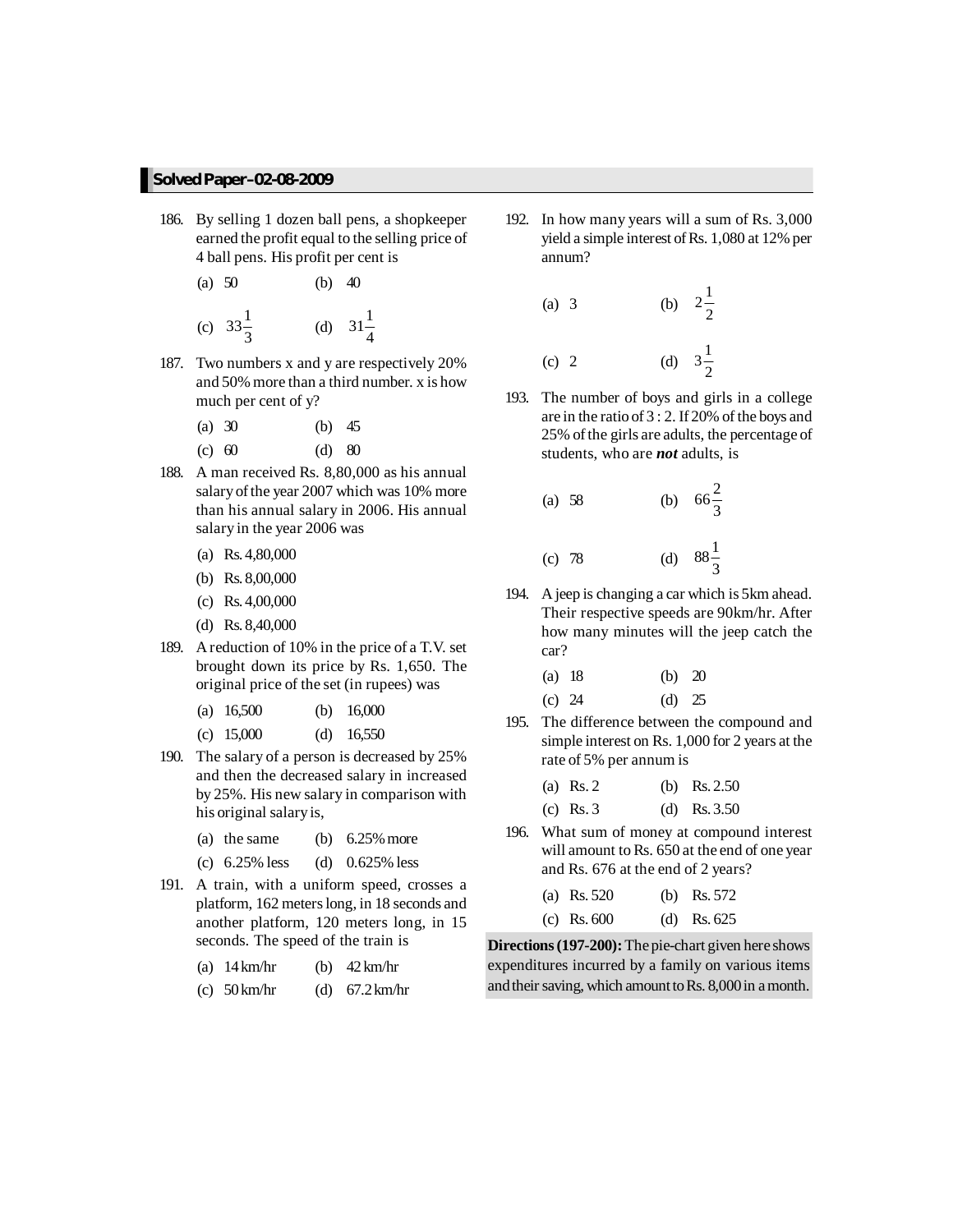- 186. By selling 1 dozen ball pens, a shopkeeper earned the profit equal to the selling price of 4 ball pens. His profit per cent is
	- (a) 50 (b) 40 (c)  $33\frac{1}{3}$  (d)  $31\frac{1}{4}$
- 187. Two numbers x and y are respectively 20% and 50% more than a third number. x is how much per cent of y?
	- (a) 30 (b) 45
	- (c) 60 (d) 80
- 188. A man received Rs. 8,80,000 as his annual salary of the year 2007 which was 10% more than his annual salary in 2006. His annual salary in the year 2006 was
	- (a) Rs. 4,80,000
	- (b) Rs. 8,00,000
	- (c) Rs. 4,00,000
	- (d) Rs. 8,40,000
- 189. Areduction of 10% in the price of a T.V. set brought down its price by Rs. 1,650. The original price of the set (in rupees) was
	- (a) 16,500 (b) 16,000
	- (c) 15,000 (d) 16,550
- 190. The salary of a person is decreased by 25% and then the decreased salary in increased by 25%. His new salary in comparison with his original salaryis,
	- (a) the same (b)  $6.25\%$  more
	- (c) 6.25% less (d) 0.625% less
- 191. A train, with a uniform speed, crosses a platform, 162 meters long, in 18 seconds and another platform, 120 meters long, in 15 seconds. The speed of the train is
	- (a) 14km/hr (b) 42km/hr
	- (c) 50km/hr (d) 67.2km/hr

192. In how many years will a sum of Rs. 3,000 yield a simple interest of Rs. 1,080 at 12% per annum?

(a) 3 (b) 
$$
2\frac{1}{2}
$$
  
(c) 2 (d)  $3\frac{1}{2}$ 

- 193. The number of boys and girls in a college are in the ratio of 3 : 2. If 20% of the boys and 25% ofthe girls are adults, the percentage of students, who are *not* adults, is
	- $(a) 58$  $66\frac{2}{3}$  $(c)$  78  $88\frac{1}{3}$
- 194. A jeep is changing a car which is 5km ahead. Their respective speeds are 90km/hr. After how many minutes will the jeep catch the car?

| (a) 18 | (b) $20$ |  |
|--------|----------|--|
| (c) 24 | (d) $25$ |  |

195. The difference between the compound and simple interest on Rs. 1,000 for 2 years at the rate of 5% per annum is

| (a) Rs. 2   | (b) Rs. $2.50$ |
|-------------|----------------|
| (c) Rs. $3$ | (d) Rs. $3.50$ |

196. What sum of money at compound interest will amount to Rs. 650 at the end of one year and Rs. 676 at the end of 2 years?

| (a) Rs. $520$ | (b) Rs. $572$ |
|---------------|---------------|
| (c) Rs. $600$ | (d) Rs. $625$ |

**Directions(197-200):**The pie-chart given here shows expenditures incurred by a family on various items and their saving, which amount to Rs. 8,000 in a month.